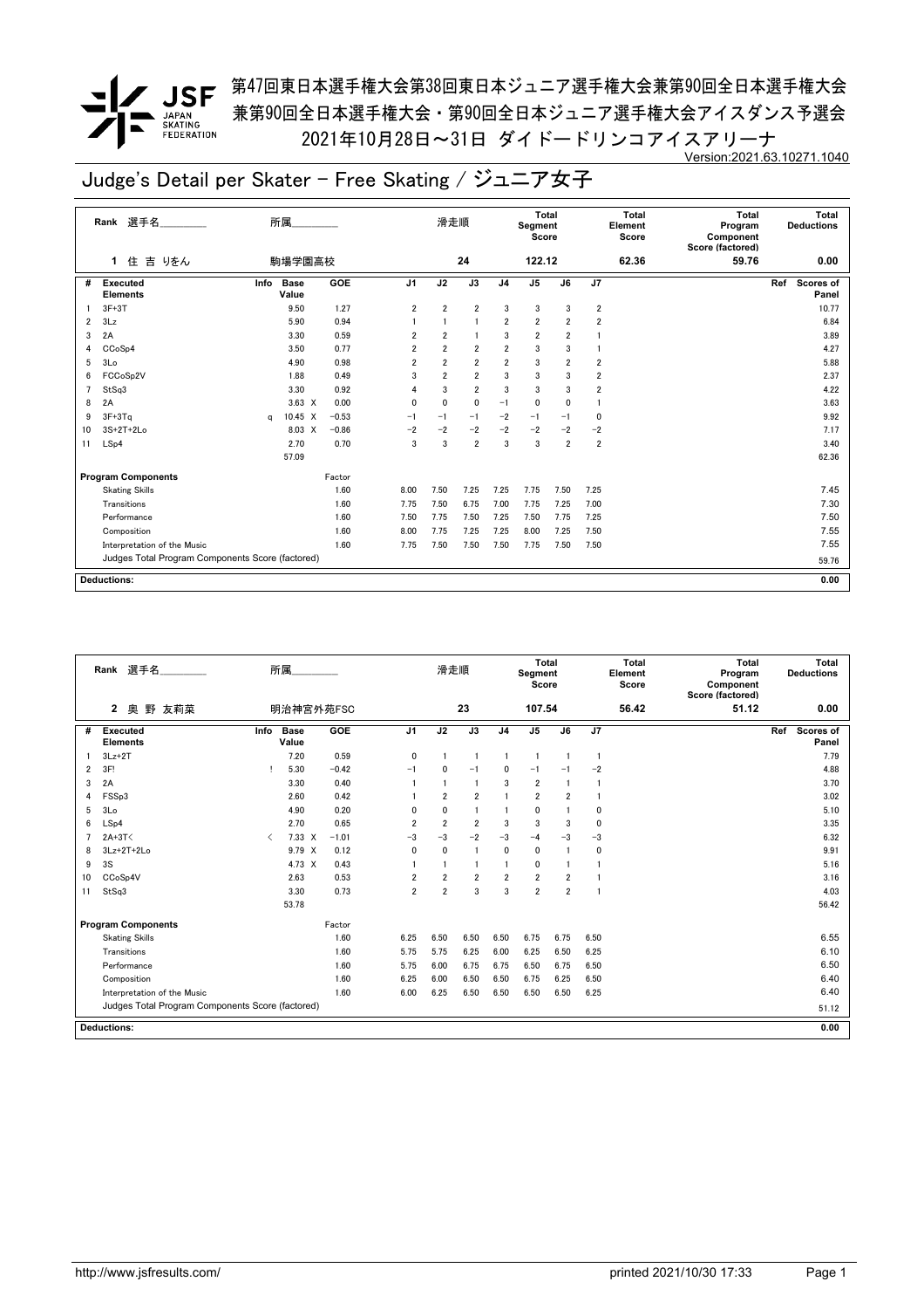**/ JSF** 第<sup>47</sup>回東日本選手権大会第38回東日本ジュニア選手権大会兼第90回全日本選手権大会 兼第90回全日本選手権大会・第90回全日本ジュニア選手権大会アイスダンス予選会 2021年10月28日~31日 ダイドードリンコアイスアリーナ Version:2021.63.10271.1040

|    | Rank 選手名                                         |      | 所属                   |         |                | 滑走順            |                |                | Segment<br>Score        | Total                   |                         | Total<br>Element<br>Score | <b>Total</b><br>Program<br>Component<br>Score (factored) | Total<br><b>Deductions</b>       |
|----|--------------------------------------------------|------|----------------------|---------|----------------|----------------|----------------|----------------|-------------------------|-------------------------|-------------------------|---------------------------|----------------------------------------------------------|----------------------------------|
|    | 吉 りをん<br>住<br>1.                                 |      | 駒場学園高校               |         |                |                | 24             |                | 122.12                  |                         |                         | 62.36                     | 59.76                                                    | 0.00                             |
| #  | <b>Executed</b><br><b>Elements</b>               | Info | <b>Base</b><br>Value | GOE     | J <sub>1</sub> | J2             | J3             | J <sub>4</sub> | J <sub>5</sub>          | J6                      | J7                      |                           |                                                          | Ref<br><b>Scores of</b><br>Panel |
|    | $3F+3T$                                          |      | 9.50                 | 1.27    | $\overline{2}$ | $\overline{2}$ | $\overline{2}$ | 3              | 3                       | 3                       | $\overline{2}$          |                           |                                                          | 10.77                            |
| 2  | 3Lz                                              |      | 5.90                 | 0.94    |                | $\mathbf{1}$   | $\mathbf{1}$   | $\overline{2}$ | 2                       | 2                       | 2                       |                           |                                                          | 6.84                             |
| 3  | 2A                                               |      | 3.30                 | 0.59    | $\overline{2}$ | $\overline{2}$ | $\mathbf{1}$   | 3              | $\overline{\mathbf{2}}$ | $\overline{\mathbf{2}}$ |                         |                           |                                                          | 3.89                             |
| 4  | CCoSp4                                           |      | 3.50                 | 0.77    | $\overline{2}$ | $\overline{2}$ | $\overline{2}$ | $\overline{2}$ | 3                       | 3                       |                         |                           |                                                          | 4.27                             |
| 5  | 3 <sub>0</sub>                                   |      | 4.90                 | 0.98    | 2              | $\overline{2}$ | $\overline{2}$ | 2              | 3                       | 2                       | 2                       |                           |                                                          | 5.88                             |
| 6  | FCCoSp2V                                         |      | 1.88                 | 0.49    | 3              | $\overline{2}$ | $\overline{2}$ | 3              | 3                       | 3                       | $\overline{\mathbf{2}}$ |                           |                                                          | 2.37                             |
| 7  | StSq3                                            |      | 3.30                 | 0.92    | 4              | 3              | $\overline{2}$ | 3              | 3                       | 3                       | 2                       |                           |                                                          | 4.22                             |
| 8  | 2A                                               |      | $3.63 \times$        | 0.00    | 0              | $\Omega$       | $\mathbf 0$    | $-1$           | 0                       | 0                       |                         |                           |                                                          | 3.63                             |
| 9  | $3F+3Ta$                                         | a    | $10.45 \times$       | $-0.53$ | $-1$           | $-1$           | $-1$           | $-2$           | $-1$                    | $-1$                    | 0                       |                           |                                                          | 9.92                             |
| 10 | $3S+2T+2Lo$                                      |      | 8.03 X               | $-0.86$ | $-2$           | $-2$           | $-2$           | $-2$           | $-2$                    | $-2$                    | $-2$                    |                           |                                                          | 7.17                             |
| 11 | LSp4                                             |      | 2.70                 | 0.70    | 3              | 3              | $\overline{2}$ | 3              | 3                       | $\overline{2}$          | $\overline{2}$          |                           |                                                          | 3.40                             |
|    |                                                  |      | 57.09                |         |                |                |                |                |                         |                         |                         |                           |                                                          | 62.36                            |
|    | <b>Program Components</b>                        |      |                      | Factor  |                |                |                |                |                         |                         |                         |                           |                                                          |                                  |
|    | <b>Skating Skills</b>                            |      |                      | 1.60    | 8.00           | 7.50           | 7.25           | 7.25           | 7.75                    | 7.50                    | 7.25                    |                           |                                                          | 7.45                             |
|    | Transitions                                      |      |                      | 1.60    | 7.75           | 7.50           | 6.75           | 7.00           | 7.75                    | 7.25                    | 7.00                    |                           |                                                          | 7.30                             |
|    | Performance                                      |      |                      | 1.60    | 7.50           | 7.75           | 7.50           | 7.25           | 7.50                    | 7.75                    | 7.25                    |                           |                                                          | 7.50                             |
|    | Composition                                      |      |                      | 1.60    | 8.00           | 7.75           | 7.25           | 7.25           | 8.00                    | 7.25                    | 7.50                    |                           |                                                          | 7.55                             |
|    | Interpretation of the Music                      |      |                      | 1.60    | 7.75           | 7.50           | 7.50           | 7.50           | 7.75                    | 7.50                    | 7.50                    |                           |                                                          | 7.55                             |
|    | Judges Total Program Components Score (factored) |      |                      |         |                |                |                |                |                         |                         |                         |                           |                                                          | 59.76                            |
|    |                                                  |      |                      |         |                |                |                |                |                         |                         |                         |                           |                                                          |                                  |
|    | <b>Deductions:</b>                               |      |                      |         |                |                |                |                |                         |                         |                         |                           |                                                          | 0.00                             |

|    | 選手名<br>Rank                                      |           | 所属                   |         |                | 滑走順                     |                |                | <b>Total</b><br>Segment<br>Score |                         |             | <b>Total</b><br>Element<br>Score | <b>Total</b><br>Program<br>Component<br>Score (factored) | Total<br><b>Deductions</b> |
|----|--------------------------------------------------|-----------|----------------------|---------|----------------|-------------------------|----------------|----------------|----------------------------------|-------------------------|-------------|----------------------------------|----------------------------------------------------------|----------------------------|
|    | 野 友莉菜<br>$\mathbf{2}$<br>奥                       |           | 明治神宮外苑FSC            |         |                |                         | 23             |                | 107.54                           |                         |             | 56.42                            | 51.12                                                    | 0.00                       |
| #  | Executed<br><b>Elements</b>                      | Info      | <b>Base</b><br>Value | GOE     | J <sub>1</sub> | J2                      | J3             | J <sub>4</sub> | J <sub>5</sub>                   | J6                      | J7          |                                  |                                                          | Scores of<br>Ref<br>Panel  |
|    | $3Lz + 2T$                                       |           | 7.20                 | 0.59    | 0              |                         | $\overline{1}$ |                | -1                               | $\mathbf{1}$            | -1          |                                  |                                                          | 7.79                       |
| 2  | 3F!                                              |           | 5.30                 | $-0.42$ | $-1$           | $\mathbf{0}$            | $-1$           | 0              | $-1$                             | $-1$                    | $-2$        |                                  |                                                          | 4.88                       |
| 3  | 2A                                               |           | 3.30                 | 0.40    |                |                         | $\overline{1}$ | 3              | $\overline{2}$                   | $\mathbf{1}$            | -1          |                                  |                                                          | 3.70                       |
| 4  | FSSp3                                            |           | 2.60                 | 0.42    |                | $\overline{2}$          | $\overline{2}$ |                | $\overline{2}$                   | $\overline{2}$          | 1           |                                  |                                                          | 3.02                       |
| 5  | 3Lo                                              |           | 4.90                 | 0.20    | $\Omega$       | $\mathbf{0}$            | $\blacksquare$ |                | $\mathbf 0$                      |                         | 0           |                                  |                                                          | 5.10                       |
| 6  | LSp4                                             |           | 2.70                 | 0.65    | $\overline{2}$ | $\overline{2}$          | $\overline{2}$ | 3              | 3                                | 3                       | $\mathbf 0$ |                                  |                                                          | 3.35                       |
|    | $2A+3T<$                                         | $\langle$ | $7.33 \times$        | $-1.01$ | $-3$           | $-3$                    | $-2$           | $-3$           | $-4$                             | $-3$                    | $-3$        |                                  |                                                          | 6.32                       |
| 8  | $3Lz+2T+2Lo$                                     |           | 9.79 X               | 0.12    | $\mathbf{0}$   | $\mathbf{0}$            | -1             | $\mathbf{0}$   | 0                                | 1                       | 0           |                                  |                                                          | 9.91                       |
| 9  | 3S                                               |           | 4.73 X               | 0.43    |                |                         | 1              |                | 0                                | 1                       |             |                                  |                                                          | 5.16                       |
| 10 | CCoSp4V                                          |           | 2.63                 | 0.53    | $\overline{2}$ | $\overline{2}$          | $\overline{2}$ | $\overline{2}$ | $\overline{2}$                   | $\overline{2}$          |             |                                  |                                                          | 3.16                       |
| 11 | StSq3                                            |           | 3.30                 | 0.73    | $\overline{2}$ | $\overline{\mathbf{2}}$ | 3              | 3              | $\overline{\mathbf{2}}$          | $\overline{\mathbf{2}}$ |             |                                  |                                                          | 4.03                       |
|    |                                                  |           | 53.78                |         |                |                         |                |                |                                  |                         |             |                                  |                                                          | 56.42                      |
|    | <b>Program Components</b>                        |           |                      | Factor  |                |                         |                |                |                                  |                         |             |                                  |                                                          |                            |
|    | <b>Skating Skills</b>                            |           |                      | 1.60    | 6.25           | 6.50                    | 6.50           | 6.50           | 6.75                             | 6.75                    | 6.50        |                                  |                                                          | 6.55                       |
|    | Transitions                                      |           |                      | 1.60    | 5.75           | 5.75                    | 6.25           | 6.00           | 6.25                             | 6.50                    | 6.25        |                                  |                                                          | 6.10                       |
|    | Performance                                      |           |                      | 1.60    | 5.75           | 6.00                    | 6.75           | 6.75           | 6.50                             | 6.75                    | 6.50        |                                  |                                                          | 6.50                       |
|    | Composition                                      |           |                      | 1.60    | 6.25           | 6.00                    | 6.50           | 6.50           | 6.75                             | 6.25                    | 6.50        |                                  |                                                          | 6.40                       |
|    | Interpretation of the Music                      |           |                      | 1.60    | 6.00           | 6.25                    | 6.50           | 6.50           | 6.50                             | 6.50                    | 6.25        |                                  |                                                          | 6.40                       |
|    | Judges Total Program Components Score (factored) |           |                      |         |                |                         |                |                |                                  |                         |             |                                  |                                                          | 51.12                      |
|    | <b>Deductions:</b>                               |           |                      |         |                |                         |                |                |                                  |                         |             |                                  |                                                          | 0.00                       |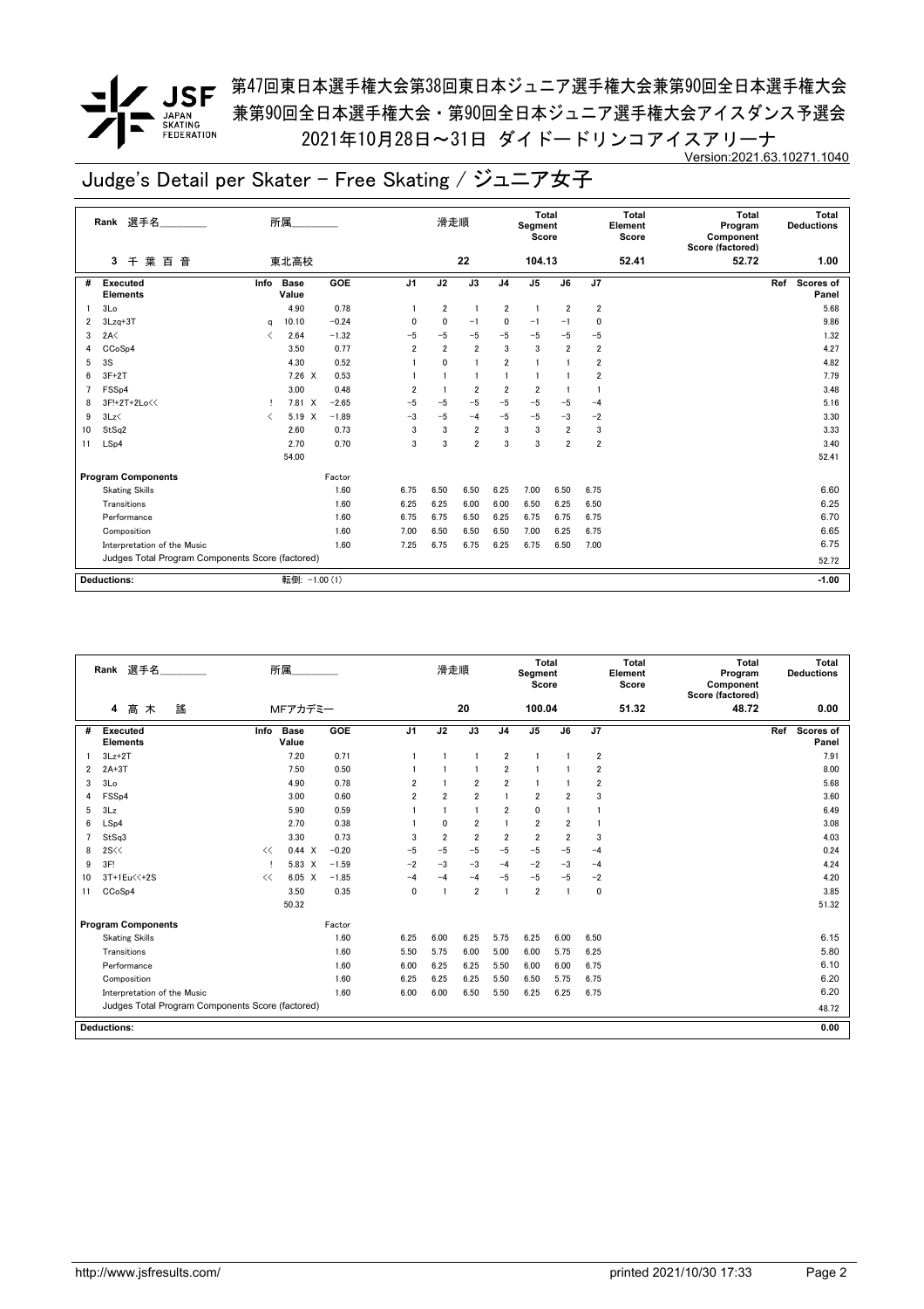第47回東日本選手権大会第38回東日本ジュニア選手権大会兼第90回全日本選手権大会 兼第90回全日本選手権大会・第90回全日本ジュニア選手権大会アイスダンス予選会 2021年10月28日~31日 ダイドードリンコアイスアリーナ Version:2021.63.10271.1040

|    | Rank 選手名                                         |                                          | 所属                   |            |                | 滑走順            |                 |                | Total<br>Segment<br>Score |                |                         | <b>Total</b><br>Element<br>Score | Total<br>Program<br>Component<br>Score (factored) | Total<br><b>Deductions</b> |
|----|--------------------------------------------------|------------------------------------------|----------------------|------------|----------------|----------------|-----------------|----------------|---------------------------|----------------|-------------------------|----------------------------------|---------------------------------------------------|----------------------------|
|    | 葉<br>百<br>音<br>3<br>千                            |                                          | 東北高校                 |            |                |                | 22              |                | 104.13                    |                |                         | 52.41                            | 52.72                                             | 1.00                       |
| #  | Executed<br><b>Elements</b>                      | Info                                     | <b>Base</b><br>Value | <b>GOE</b> | J <sub>1</sub> | J2             | $\overline{J3}$ | J <sub>4</sub> | J <sub>5</sub>            | J6             | J7                      |                                  |                                                   | Scores of<br>Ref<br>Panel  |
|    | 3 <sub>Lo</sub>                                  |                                          | 4.90                 | 0.78       |                | $\overline{2}$ |                 | $\overline{2}$ | $\overline{1}$            | $\overline{2}$ | $\overline{\mathbf{2}}$ |                                  |                                                   | 5.68                       |
| 2  | $3Lzq+3T$                                        | a                                        | 10.10                | $-0.24$    | $\mathbf{0}$   | 0              | $-1$            | $\Omega$       | $-1$                      | $-1$           | 0                       |                                  |                                                   | 9.86                       |
| 3  | 2A<                                              | ✓                                        | 2.64                 | $-1.32$    | $-5$           | $-5$           | $-5$            | $-5$           | $-5$                      | $-5$           | $-5$                    |                                  |                                                   | 1.32                       |
| 4  | CC <sub>o</sub> S <sub>p4</sub>                  |                                          | 3.50                 | 0.77       | $\overline{2}$ | $\overline{2}$ | $\overline{2}$  | 3              | 3                         | $\overline{2}$ | $\overline{2}$          |                                  |                                                   | 4.27                       |
| 5  | 3S                                               |                                          | 4.30                 | 0.52       |                | $\mathbf{0}$   | $\overline{1}$  | $\overline{2}$ |                           |                | 2                       |                                  |                                                   | 4.82                       |
| 6  | $3F+2T$                                          |                                          | $7.26 \times$        | 0.53       |                |                |                 |                |                           |                | 2                       |                                  |                                                   | 7.79                       |
| 7  | FSS <sub>p4</sub>                                |                                          | 3.00                 | 0.48       | $\overline{2}$ |                | $\overline{2}$  | $\overline{2}$ | $\overline{2}$            |                |                         |                                  |                                                   | 3.48                       |
| 8  | 3F!+2T+2Lo<<                                     |                                          | 7.81 X               | $-2.65$    | $-5$           | -5             | $-5$            | $-5$           | $-5$                      | $-5$           | $-4$                    |                                  |                                                   | 5.16                       |
| 9  | 3Lz                                              | $\overline{\left\langle \right\rangle }$ | 5.19<br>X            | $-1.89$    | $-3$           | $-5$           | $-4$            | $-5$           | $-5$                      | $-3$           | $-2$                    |                                  |                                                   | 3.30                       |
| 10 | StSq2                                            |                                          | 2.60                 | 0.73       | 3              | 3              | $\overline{2}$  | 3              | 3                         | $\overline{2}$ | 3                       |                                  |                                                   | 3.33                       |
| 11 | LSp4                                             |                                          | 2.70                 | 0.70       | 3              | 3              | $\overline{2}$  | 3              | 3                         | $\overline{2}$ | $\overline{2}$          |                                  |                                                   | 3.40                       |
|    |                                                  |                                          | 54.00                |            |                |                |                 |                |                           |                |                         |                                  |                                                   | 52.41                      |
|    | <b>Program Components</b>                        |                                          |                      | Factor     |                |                |                 |                |                           |                |                         |                                  |                                                   |                            |
|    | <b>Skating Skills</b>                            |                                          |                      | 1.60       | 6.75           | 6.50           | 6.50            | 6.25           | 7.00                      | 6.50           | 6.75                    |                                  |                                                   | 6.60                       |
|    | Transitions                                      |                                          |                      | 1.60       | 6.25           | 6.25           | 6.00            | 6.00           | 6.50                      | 6.25           | 6.50                    |                                  |                                                   | 6.25                       |
|    | Performance                                      |                                          |                      | 1.60       | 6.75           | 6.75           | 6.50            | 6.25           | 6.75                      | 6.75           | 6.75                    |                                  |                                                   | 6.70                       |
|    | Composition                                      |                                          |                      | 1.60       | 7.00           | 6.50           | 6.50            | 6.50           | 7.00                      | 6.25           | 6.75                    |                                  |                                                   | 6.65                       |
|    | Interpretation of the Music                      |                                          |                      | 1.60       | 7.25           | 6.75           | 6.75            | 6.25           | 6.75                      | 6.50           | 7.00                    |                                  |                                                   | 6.75                       |
|    | Judges Total Program Components Score (factored) |                                          |                      |            |                |                |                 |                |                           |                |                         |                                  |                                                   | 52.72                      |
|    | <b>Deductions:</b>                               |                                          | 転倒: -1.00 (1)        |            |                |                |                 |                |                           |                |                         |                                  |                                                   | $-1.00$                    |
|    |                                                  |                                          |                      |            |                |                |                 |                |                           |                |                         |                                  |                                                   |                            |

|    | 選手名<br>Rank                                      |      | 所属                   |            |                | 滑走順            |                |                | Total<br>Segment<br>Score |                |                         | <b>Total</b><br>Element<br>Score | Total<br>Program<br>Component<br>Score (factored) | Total<br><b>Deductions</b> |
|----|--------------------------------------------------|------|----------------------|------------|----------------|----------------|----------------|----------------|---------------------------|----------------|-------------------------|----------------------------------|---------------------------------------------------|----------------------------|
|    | 謠<br>髙<br>木<br>4                                 |      | MFアカデミー              |            |                |                | 20             |                | 100.04                    |                |                         | 51.32                            | 48.72                                             | 0.00                       |
| #  | Executed<br><b>Elements</b>                      | Info | <b>Base</b><br>Value | <b>GOE</b> | J <sub>1</sub> | J2             | J3             | J <sub>4</sub> | J <sub>5</sub>            | J6             | J7                      |                                  |                                                   | Ref<br>Scores of<br>Panel  |
|    | $3Lz + 2T$                                       |      | 7.20                 | 0.71       |                |                | $\blacksquare$ | 2              | $\mathbf{1}$              |                | $\overline{\mathbf{2}}$ |                                  |                                                   | 7.91                       |
| 2  | $2A+3T$                                          |      | 7.50                 | 0.50       |                |                |                | $\overline{2}$ |                           |                | $\overline{\mathbf{2}}$ |                                  |                                                   | 8.00                       |
| 3  | 3Lo                                              |      | 4.90                 | 0.78       | $\overline{2}$ |                | $\overline{2}$ | $\overline{2}$ | $\mathbf{1}$              |                | $\overline{\mathbf{2}}$ |                                  |                                                   | 5.68                       |
| 4  | FSSp4                                            |      | 3.00                 | 0.60       | $\overline{2}$ | $\overline{2}$ | $\overline{2}$ | $\overline{1}$ | $\overline{2}$            | $\overline{2}$ | 3                       |                                  |                                                   | 3.60                       |
| 5  | 3Lz                                              |      | 5.90                 | 0.59       |                |                | $\mathbf{1}$   | $\overline{2}$ | $\mathbf 0$               |                |                         |                                  |                                                   | 6.49                       |
| 6  | LSp4                                             |      | 2.70                 | 0.38       |                | $\mathbf{0}$   | $\overline{2}$ | $\overline{1}$ | $\overline{2}$            | $\overline{2}$ |                         |                                  |                                                   | 3.08                       |
| 7  | StSq3                                            |      | 3.30                 | 0.73       | 3              | $\overline{2}$ | $\overline{2}$ | $\overline{2}$ | $\overline{2}$            | $\overline{2}$ | 3                       |                                  |                                                   | 4.03                       |
| 8  | 2S <                                             | <<   | 0.44 X               | $-0.20$    | $-5$           | $-5$           | $-5$           | $-5$           | $-5$                      | $-5$           | $-4$                    |                                  |                                                   | 0.24                       |
| 9  | 3F!                                              |      | 5.83 X               | $-1.59$    | $-2$           | $-3$           | $-3$           | $-4$           | $-2$                      | $-3$           | $-4$                    |                                  |                                                   | 4.24                       |
| 10 | 3T+1Eu<<+2S                                      | <<   | $6.05 \quad X$       | $-1.85$    | $-4$           | $-4$           | $-4$           | $-5$           | $-5$                      | $-5$           | $-2$                    |                                  |                                                   | 4.20                       |
| 11 | CCoSp4                                           |      | 3.50                 | 0.35       | 0              |                | $\overline{2}$ | $\overline{1}$ | $\overline{2}$            | $\mathbf{1}$   | 0                       |                                  |                                                   | 3.85                       |
|    |                                                  |      | 50.32                |            |                |                |                |                |                           |                |                         |                                  |                                                   | 51.32                      |
|    | <b>Program Components</b>                        |      |                      | Factor     |                |                |                |                |                           |                |                         |                                  |                                                   |                            |
|    | <b>Skating Skills</b>                            |      |                      | 1.60       | 6.25           | 6.00           | 6.25           | 5.75           | 6.25                      | 6.00           | 6.50                    |                                  |                                                   | 6.15                       |
|    | Transitions                                      |      |                      | 1.60       | 5.50           | 5.75           | 6.00           | 5.00           | 6.00                      | 5.75           | 6.25                    |                                  |                                                   | 5.80                       |
|    | Performance                                      |      |                      | 1.60       | 6.00           | 6.25           | 6.25           | 5.50           | 6.00                      | 6.00           | 6.75                    |                                  |                                                   | 6.10                       |
|    | Composition                                      |      |                      | 1.60       | 6.25           | 6.25           | 6.25           | 5.50           | 6.50                      | 5.75           | 6.75                    |                                  |                                                   | 6.20                       |
|    | Interpretation of the Music                      |      |                      | 1.60       | 6.00           | 6.00           | 6.50           | 5.50           | 6.25                      | 6.25           | 6.75                    |                                  |                                                   | 6.20                       |
|    | Judges Total Program Components Score (factored) |      |                      |            |                |                |                |                |                           |                |                         |                                  |                                                   | 48.72                      |
|    | Deductions:                                      |      |                      |            |                |                |                |                |                           |                |                         |                                  |                                                   | 0.00                       |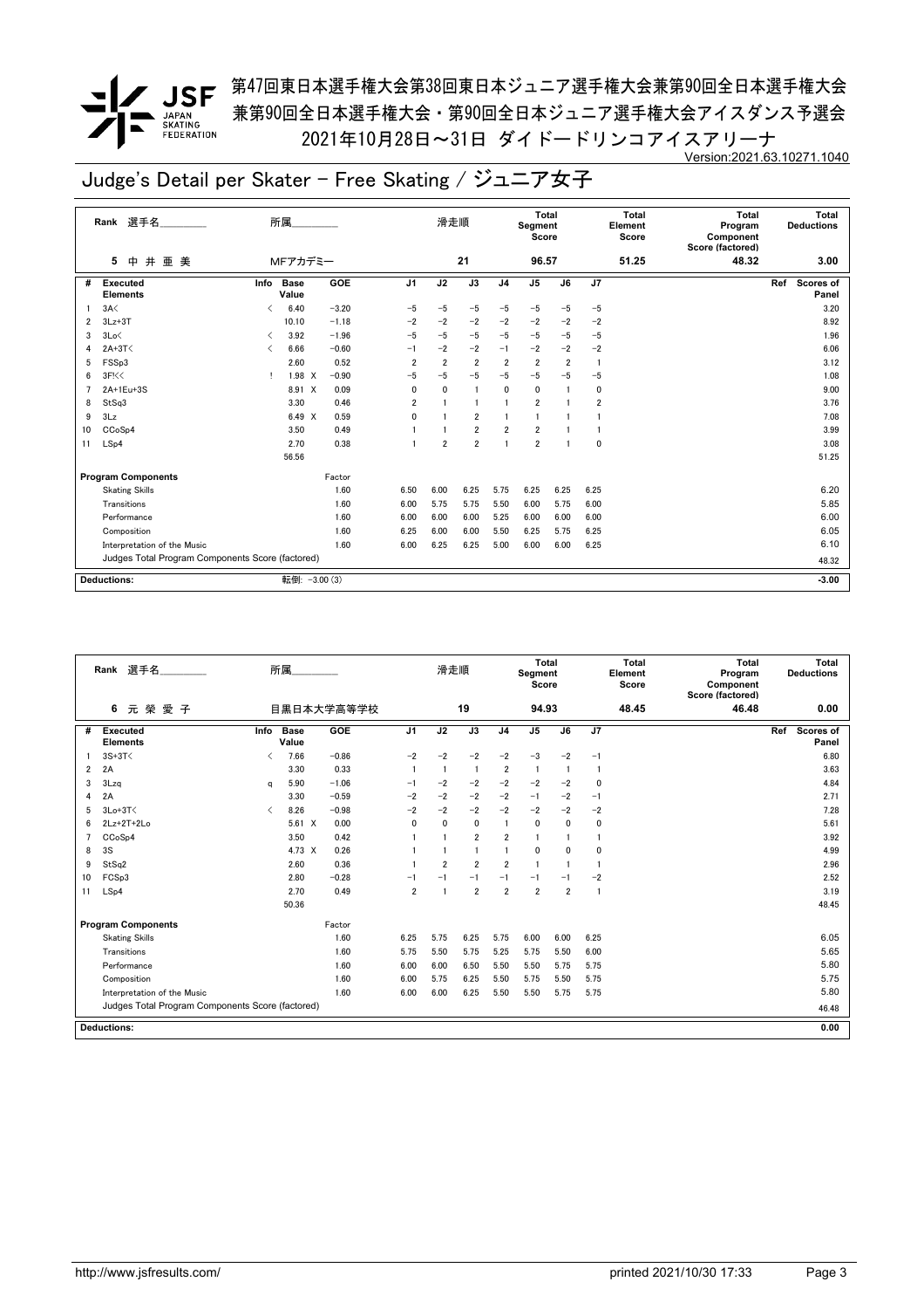<u>/</u> JSF <sup>第47回東日本選手権大会第38回東日本ジュニア選手権大会兼第90回全日本選手権大会</sup> 兼第90回全日本選手権大会・第90回全日本ジュニア選手権大会アイスダンス予選会 2021年10月28日~31日 ダイドードリンコアイスアリーナ Version:2021.63.10271.1040

|    | Rank 選手名                                         |      | 所属                   |            |                | 滑走順            |                 |                | Total<br>Segment<br>Score |                |                | <b>Total</b><br>Element<br>Score | <b>Total</b><br>Program<br>Component<br>Score (factored) | Total<br><b>Deductions</b> |
|----|--------------------------------------------------|------|----------------------|------------|----------------|----------------|-----------------|----------------|---------------------------|----------------|----------------|----------------------------------|----------------------------------------------------------|----------------------------|
|    | 井<br>亜美<br>5<br>中                                |      | MFアカデミー              |            |                |                | 21              |                | 96.57                     |                |                | 51.25                            | 48.32                                                    | 3.00                       |
| #  | <b>Executed</b><br><b>Elements</b>               | Info | <b>Base</b><br>Value | <b>GOE</b> | J <sub>1</sub> | J2             | $\overline{J3}$ | J <sub>4</sub> | J <sub>5</sub>            | J6             | J7             |                                  |                                                          | Ref<br>Scores of<br>Panel  |
|    | 3A<                                              | ✓    | 6.40                 | $-3.20$    | $-5$           | $-5$           | $-5$            | $-5$           | $-5$                      | $-5$           | $-5$           |                                  |                                                          | 3.20                       |
| 2  | $3Lz + 3T$                                       |      | 10.10                | $-1.18$    | $-2$           | $-2$           | $-2$            | $-2$           | $-2$                      | $-2$           | $-2$           |                                  |                                                          | 8.92                       |
| 3  | 3Lo<                                             | ≺    | 3.92                 | $-1.96$    | $-5$           | $-5$           | $-5$            | $-5$           | $-5$                      | $-5$           | $-5$           |                                  |                                                          | 1.96                       |
| 4  | $2A+3T<$                                         | ≺    | 6.66                 | $-0.60$    | $-1$           | $-2$           | $-2$            | $-1$           | $-2$                      | $-2$           | $-2$           |                                  |                                                          | 6.06                       |
| 5  | FSSp3                                            |      | 2.60                 | 0.52       | $\overline{2}$ | $\overline{2}$ | $\overline{2}$  | $\overline{2}$ | $\overline{\mathbf{2}}$   | $\overline{2}$ | -1             |                                  |                                                          | 3.12                       |
| 6  | 3F<                                              | т    | 1.98<br>$\times$     | $-0.90$    | $-5$           | $-5$           | $-5$            | $-5$           | $-5$                      | $-5$           | $-5$           |                                  |                                                          | 1.08                       |
|    | 2A+1Eu+3S                                        |      | 8.91 X               | 0.09       | $\mathbf{0}$   | 0              | $\mathbf{1}$    | $\mathbf{0}$   | 0                         | 1              | 0              |                                  |                                                          | 9.00                       |
| 8  | StSq3                                            |      | 3.30                 | 0.46       | $\overline{2}$ | $\overline{1}$ | $\mathbf{1}$    | $\mathbf{1}$   | $\overline{2}$            | 1              | $\overline{2}$ |                                  |                                                          | 3.76                       |
| 9  | 3Lz                                              |      | 6.49 X               | 0.59       | $\mathbf 0$    |                | $\overline{2}$  |                |                           |                |                |                                  |                                                          | 7.08                       |
| 10 | CCoSp4                                           |      | 3.50                 | 0.49       |                |                | $\overline{2}$  | $\overline{2}$ | $\overline{2}$            |                |                |                                  |                                                          | 3.99                       |
| 11 | LSp4                                             |      | 2.70                 | 0.38       |                | $\overline{2}$ | $\overline{2}$  | $\overline{1}$ | $\overline{2}$            | 1              | 0              |                                  |                                                          | 3.08                       |
|    |                                                  |      | 56.56                |            |                |                |                 |                |                           |                |                |                                  |                                                          | 51.25                      |
|    | <b>Program Components</b>                        |      |                      | Factor     |                |                |                 |                |                           |                |                |                                  |                                                          |                            |
|    | <b>Skating Skills</b>                            |      |                      | 1.60       | 6.50           | 6.00           | 6.25            | 5.75           | 6.25                      | 6.25           | 6.25           |                                  |                                                          | 6.20                       |
|    | Transitions                                      |      |                      | 1.60       | 6.00           | 5.75           | 5.75            | 5.50           | 6.00                      | 5.75           | 6.00           |                                  |                                                          | 5.85                       |
|    | Performance                                      |      |                      | 1.60       | 6.00           | 6.00           | 6.00            | 5.25           | 6.00                      | 6.00           | 6.00           |                                  |                                                          | 6.00                       |
|    | Composition                                      |      |                      | 1.60       | 6.25           | 6.00           | 6.00            | 5.50           | 6.25                      | 5.75           | 6.25           |                                  |                                                          | 6.05                       |
|    | Interpretation of the Music                      |      |                      | 1.60       | 6.00           | 6.25           | 6.25            | 5.00           | 6.00                      | 6.00           | 6.25           |                                  |                                                          | 6.10                       |
|    | Judges Total Program Components Score (factored) |      |                      |            |                |                |                 |                |                           |                |                |                                  |                                                          | 48.32                      |
|    |                                                  |      |                      |            |                |                |                 |                |                           |                |                |                                  |                                                          |                            |
|    | <b>Deductions:</b>                               |      | 転倒: - 3.00 (3)       |            |                |                |                 |                |                           |                |                |                                  |                                                          | $-3.00$                    |

|    | Rank 選手名                                         |      | 所属                   |            |                | 滑走順            |                |                | <b>Total</b><br>Segment<br>Score |                |             | <b>Total</b><br>Element<br>Score | <b>Total</b><br>Program<br>Component<br>Score (factored) | Total<br><b>Deductions</b>       |
|----|--------------------------------------------------|------|----------------------|------------|----------------|----------------|----------------|----------------|----------------------------------|----------------|-------------|----------------------------------|----------------------------------------------------------|----------------------------------|
|    | 元榮愛子<br>6                                        |      |                      | 目黒日本大学高等学校 |                |                | 19             |                | 94.93                            |                |             | 48.45                            | 46.48                                                    | 0.00                             |
| #  | Executed<br><b>Elements</b>                      | Info | <b>Base</b><br>Value | GOE        | J <sub>1</sub> | J2             | J3             | J <sub>4</sub> | J <sub>5</sub>                   | J6             | J7          |                                  |                                                          | <b>Scores of</b><br>Ref<br>Panel |
|    | $3S+3T<$                                         | ✓    | 7.66                 | $-0.86$    | $-2$           | $-2$           | $-2$           | $-2$           | $-3$                             | $-2$           | $-1$        |                                  |                                                          | 6.80                             |
| 2  | 2A                                               |      | 3.30                 | 0.33       |                | $\overline{1}$ | $\blacksquare$ | $\overline{2}$ | $\mathbf{1}$                     | $\mathbf{1}$   | -1          |                                  |                                                          | 3.63                             |
| 3  | 3Lza                                             | a    | 5.90                 | $-1.06$    | $-1$           | $-2$           | $-2$           | $-2$           | $-2$                             | $-2$           | $\mathbf 0$ |                                  |                                                          | 4.84                             |
| 4  | 2A                                               |      | 3.30                 | $-0.59$    | $-2$           | $-2$           | $-2$           | $-2$           | $-1$                             | $-2$           | $-1$        |                                  |                                                          | 2.71                             |
| 5  | $3Lo+3T<$                                        | ✓    | 8.26                 | $-0.98$    | $-2$           | $-2$           | $-2$           | $-2$           | $-2$                             | $-2$           | $-2$        |                                  |                                                          | 7.28                             |
| 6  | $2Lz+2T+2Lo$                                     |      | $5.61 \quad X$       | 0.00       | $\mathbf{0}$   | $\mathbf{0}$   | $\mathbf{0}$   | $\mathbf{1}$   | 0                                | $\mathbf{0}$   | $\mathbf 0$ |                                  |                                                          | 5.61                             |
|    | CCoSp4                                           |      | 3.50                 | 0.42       |                |                | $\overline{2}$ | $\overline{2}$ |                                  |                |             |                                  |                                                          | 3.92                             |
| 8  | 3S                                               |      | $4.73 \times$        | 0.26       |                |                | $\overline{1}$ | $\mathbf{1}$   | 0                                | 0              | 0           |                                  |                                                          | 4.99                             |
| 9  | StSq2                                            |      | 2.60                 | 0.36       |                | $\overline{2}$ | $\overline{2}$ | $\overline{2}$ | -1                               | 1              | -1          |                                  |                                                          | 2.96                             |
| 10 | FCSp3                                            |      | 2.80                 | $-0.28$    | -1             | $-1$           | $-1$           | $-1$           | $-1$                             | $-1$           | $-2$        |                                  |                                                          | 2.52                             |
| 11 | LSp4                                             |      | 2.70                 | 0.49       | $\overline{2}$ | $\overline{1}$ | $\overline{2}$ | $\overline{2}$ | $\overline{2}$                   | $\overline{2}$ | -1          |                                  |                                                          | 3.19                             |
|    |                                                  |      | 50.36                |            |                |                |                |                |                                  |                |             |                                  |                                                          | 48.45                            |
|    | <b>Program Components</b>                        |      |                      | Factor     |                |                |                |                |                                  |                |             |                                  |                                                          |                                  |
|    | <b>Skating Skills</b>                            |      |                      | 1.60       | 6.25           | 5.75           | 6.25           | 5.75           | 6.00                             | 6.00           | 6.25        |                                  |                                                          | 6.05                             |
|    | Transitions                                      |      |                      | 1.60       | 5.75           | 5.50           | 5.75           | 5.25           | 5.75                             | 5.50           | 6.00        |                                  |                                                          | 5.65                             |
|    | Performance                                      |      |                      | 1.60       | 6.00           | 6.00           | 6.50           | 5.50           | 5.50                             | 5.75           | 5.75        |                                  |                                                          | 5.80                             |
|    | Composition                                      |      |                      | 1.60       | 6.00           | 5.75           | 6.25           | 5.50           | 5.75                             | 5.50           | 5.75        |                                  |                                                          | 5.75                             |
|    | Interpretation of the Music                      |      |                      | 1.60       | 6.00           | 6.00           | 6.25           | 5.50           | 5.50                             | 5.75           | 5.75        |                                  |                                                          | 5.80                             |
|    | Judges Total Program Components Score (factored) |      |                      |            |                |                |                |                |                                  |                |             |                                  |                                                          | 46.48                            |
|    | <b>Deductions:</b>                               |      |                      |            |                |                |                |                |                                  |                |             |                                  |                                                          | 0.00                             |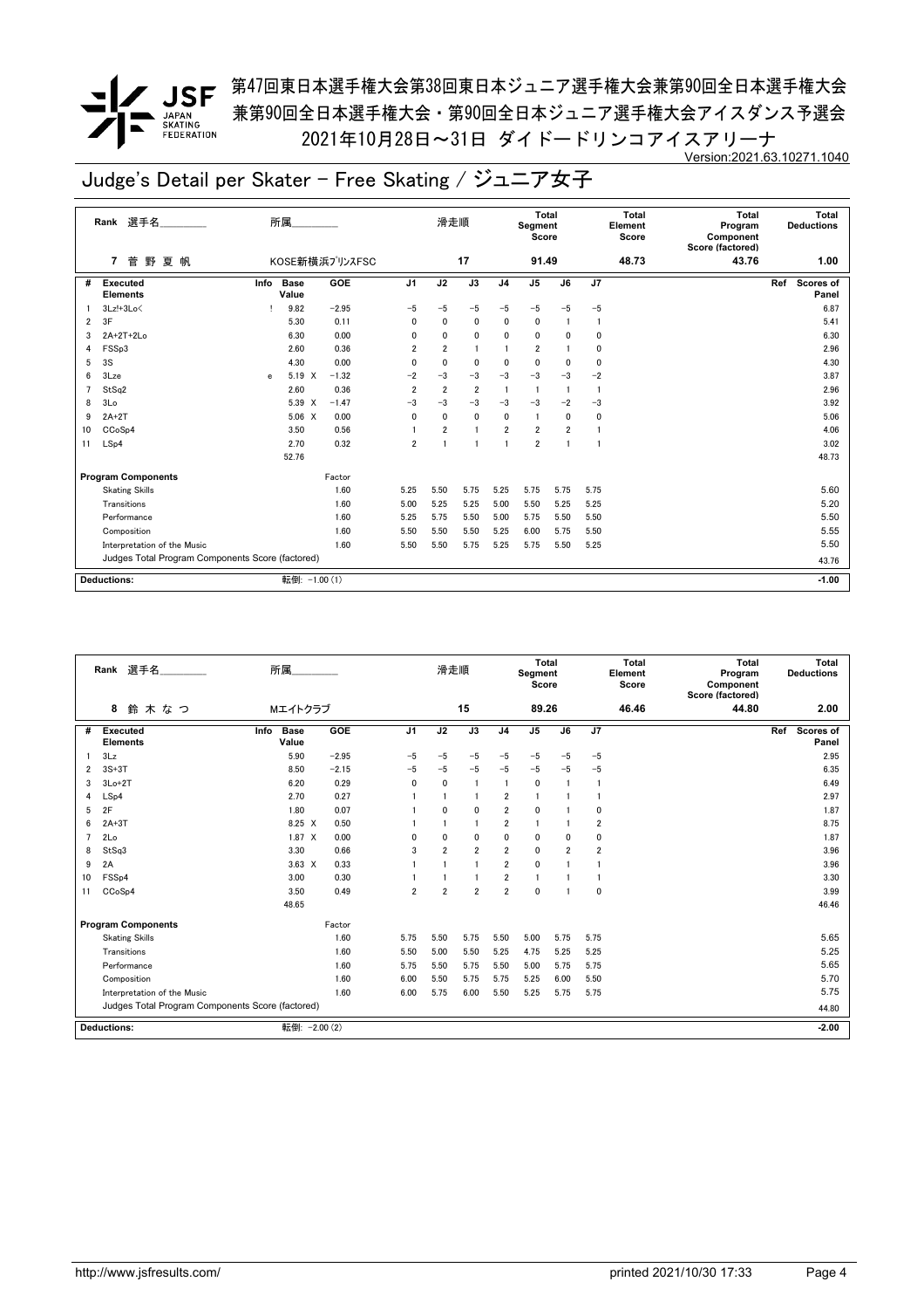**/ JSF** 第<sup>47</sup>回東日本選手権大会第38回東日本ジュニア選手権大会兼第90回全日本選手権大会 兼第90回全日本選手権大会・第90回全日本ジュニア選手権大会アイスダンス予選会 2021年10月28日~31日 ダイドードリンコアイスアリーナ Version:2021.63.10271.1040

|    | Rank 選手名                                         |      | 所属                   |                |                | 滑走順            |                |                | <b>Total</b><br>Segment<br>Score |                |              | Total<br>Element<br>Score | Total<br>Program<br>Component<br>Score (factored) | Total<br><b>Deductions</b>       |
|----|--------------------------------------------------|------|----------------------|----------------|----------------|----------------|----------------|----------------|----------------------------------|----------------|--------------|---------------------------|---------------------------------------------------|----------------------------------|
|    | 野<br>夏 帆<br>7<br>菅                               |      |                      | KOSE新横浜プリンスFSC |                |                | 17             |                | 91.49                            |                |              | 48.73                     | 43.76                                             | 1.00                             |
| #  | <b>Executed</b><br><b>Elements</b>               | Info | <b>Base</b><br>Value | GOE            | J <sub>1</sub> | J2             | J3             | J <sub>4</sub> | J5                               | J6             | J7           |                           |                                                   | Ref<br><b>Scores of</b><br>Panel |
|    | $3Lz!+3Lo$                                       |      | 9.82                 | $-2.95$        | $-5$           | $-5$           | $-5$           | $-5$           | $-5$                             | $-5$           | $-5$         |                           |                                                   | 6.87                             |
| 2  | 3F                                               |      | 5.30                 | 0.11           | $\mathbf{0}$   | 0              | $\mathbf 0$    | 0              | $\mathbf 0$                      |                | 1            |                           |                                                   | 5.41                             |
| 3  | 2A+2T+2Lo                                        |      | 6.30                 | 0.00           | 0              | 0              | 0              | 0              | 0                                | 0              | 0            |                           |                                                   | 6.30                             |
| 4  | FSSp3                                            |      | 2.60                 | 0.36           | 2              | $\overline{2}$ | $\blacksquare$ |                | $\overline{2}$                   |                | 0            |                           |                                                   | 2.96                             |
| 5  | 3S                                               |      | 4.30                 | 0.00           | $\mathbf{0}$   | 0              | $\mathbf 0$    | 0              | $\mathbf 0$                      | $\mathbf{0}$   | 0            |                           |                                                   | 4.30                             |
| 6  | 3Lze                                             | e    | 5.19 X               | $-1.32$        | $-2$           | $-3$           | $-3$           | $-3$           | $-3$                             | $-3$           | $-2$         |                           |                                                   | 3.87                             |
|    | StSa2                                            |      | 2.60                 | 0.36           | $\overline{2}$ | $\overline{2}$ | $\overline{2}$ | $\overline{1}$ | $\mathbf{1}$                     | -1             | 1            |                           |                                                   | 2.96                             |
| 8  | 3 <sub>0</sub>                                   |      | 5.39 X               | $-1.47$        | $-3$           | $-3$           | $-3$           | $-3$           | $-3$                             | $-2$           | $-3$         |                           |                                                   | 3.92                             |
| 9  | $2A+2T$                                          |      | 5.06 X               | 0.00           | 0              | $\mathbf 0$    | $\mathbf 0$    | 0              | $\mathbf{1}$                     | 0              | 0            |                           |                                                   | 5.06                             |
| 10 | CC <sub>o</sub> S <sub>p4</sub>                  |      | 3.50                 | 0.56           |                | $\overline{2}$ | 1              | $\overline{2}$ | $\overline{2}$                   | $\overline{2}$ | 1            |                           |                                                   | 4.06                             |
| 11 | LSp4                                             |      | 2.70                 | 0.32           | $\overline{2}$ |                | 1              | $\mathbf{1}$   | $\overline{2}$                   |                | $\mathbf{1}$ |                           |                                                   | 3.02                             |
|    |                                                  |      | 52.76                |                |                |                |                |                |                                  |                |              |                           |                                                   | 48.73                            |
|    | <b>Program Components</b>                        |      |                      | Factor         |                |                |                |                |                                  |                |              |                           |                                                   |                                  |
|    | <b>Skating Skills</b>                            |      |                      | 1.60           | 5.25           | 5.50           | 5.75           | 5.25           | 5.75                             | 5.75           | 5.75         |                           |                                                   | 5.60                             |
|    | Transitions                                      |      |                      | 1.60           | 5.00           | 5.25           | 5.25           | 5.00           | 5.50                             | 5.25           | 5.25         |                           |                                                   | 5.20                             |
|    | Performance                                      |      |                      | 1.60           | 5.25           | 5.75           | 5.50           | 5.00           | 5.75                             | 5.50           | 5.50         |                           |                                                   | 5.50                             |
|    | Composition                                      |      |                      | 1.60           | 5.50           | 5.50           | 5.50           | 5.25           | 6.00                             | 5.75           | 5.50         |                           |                                                   | 5.55                             |
|    | Interpretation of the Music                      |      |                      | 1.60           | 5.50           | 5.50           | 5.75           | 5.25           | 5.75                             | 5.50           | 5.25         |                           |                                                   | 5.50                             |
|    | Judges Total Program Components Score (factored) |      |                      |                |                |                |                |                |                                  |                |              |                           |                                                   | 43.76                            |
|    | <b>Deductions:</b>                               |      | 転倒: -1.00 (1)        |                |                |                |                |                |                                  |                |              |                           |                                                   | $-1.00$                          |

|                | Rank 選手名                                         | 所属                           |         |                | 滑走順                     |                |                | Total<br>Segment<br>Score |              |                         | <b>Total</b><br>Element<br>Score | <b>Total</b><br>Program<br>Component<br>Score (factored) | <b>Deductions</b> | Total              |
|----------------|--------------------------------------------------|------------------------------|---------|----------------|-------------------------|----------------|----------------|---------------------------|--------------|-------------------------|----------------------------------|----------------------------------------------------------|-------------------|--------------------|
|                | 鈴木なつ<br>8                                        | Mエイトクラブ                      |         |                |                         | 15             |                | 89.26                     |              |                         | 46.46                            | 44.80                                                    |                   | 2.00               |
| #              | Executed<br><b>Elements</b>                      | <b>Base</b><br>Info<br>Value | GOE     | J <sub>1</sub> | J2                      | J3             | J <sub>4</sub> | J <sub>5</sub>            | J6           | J <sub>7</sub>          |                                  |                                                          | Ref               | Scores of<br>Panel |
|                | 3Lz                                              | 5.90                         | $-2.95$ | $-5$           | $-5$                    | $-5$           | $-5$           | $-5$                      | $-5$         | $-5$                    |                                  |                                                          |                   | 2.95               |
| 2              | $3S+3T$                                          | 8.50                         | $-2.15$ | $-5$           | $-5$                    | $-5$           | $-5$           | $-5$                      | $-5$         | $-5$                    |                                  |                                                          |                   | 6.35               |
| 3              | $3Lo+2T$                                         | 6.20                         | 0.29    | $\mathbf{0}$   | $\mathbf 0$             | -1             | $\mathbf{1}$   | $\mathbf 0$               |              | $\mathbf{1}$            |                                  |                                                          |                   | 6.49               |
| 4              | LSp4                                             | 2.70                         | 0.27    |                |                         | 1              | $\overline{2}$ | $\overline{1}$            |              | $\mathbf{1}$            |                                  |                                                          |                   | 2.97               |
| 5              | 2F                                               | 1.80                         | 0.07    |                | $\Omega$                | $\mathbf 0$    | $\overline{2}$ | $\mathbf{0}$              |              | 0                       |                                  |                                                          |                   | 1.87               |
| 6              | $2A+3T$                                          | 8.25 X                       | 0.50    |                |                         |                | $\overline{2}$ |                           |              | $\overline{\mathbf{2}}$ |                                  |                                                          |                   | 8.75               |
| $\overline{7}$ | 2Lo                                              | $1.87 \times$                | 0.00    | $\Omega$       | 0                       | $\mathbf{0}$   | 0              | $\Omega$                  | $\mathbf{0}$ | 0                       |                                  |                                                          |                   | 1.87               |
| 8              | StSq3                                            | 3.30                         | 0.66    | 3              | $\overline{2}$          | $\overline{2}$ | $\overline{2}$ | $\Omega$                  | 2            | $\overline{\mathbf{2}}$ |                                  |                                                          |                   | 3.96               |
| 9              | 2A                                               | $3.63 \times$                | 0.33    |                |                         | 1              | $\overline{2}$ | $\mathbf{0}$              |              | 1                       |                                  |                                                          |                   | 3.96               |
| 10             | FSSp4                                            | 3.00                         | 0.30    |                |                         |                | $\overline{2}$ | $\mathbf{1}$              |              | 1                       |                                  |                                                          |                   | 3.30               |
| 11             | CCoSp4                                           | 3.50                         | 0.49    | 2              | $\overline{\mathbf{2}}$ | $\overline{2}$ | $\overline{2}$ | $\Omega$                  |              | 0                       |                                  |                                                          |                   | 3.99               |
|                |                                                  | 48.65                        |         |                |                         |                |                |                           |              |                         |                                  |                                                          |                   | 46.46              |
|                | <b>Program Components</b>                        |                              | Factor  |                |                         |                |                |                           |              |                         |                                  |                                                          |                   |                    |
|                | <b>Skating Skills</b>                            |                              | 1.60    | 5.75           | 5.50                    | 5.75           | 5.50           | 5.00                      | 5.75         | 5.75                    |                                  |                                                          |                   | 5.65               |
|                | Transitions                                      |                              | 1.60    | 5.50           | 5.00                    | 5.50           | 5.25           | 4.75                      | 5.25         | 5.25                    |                                  |                                                          |                   | 5.25               |
|                | Performance                                      |                              | 1.60    | 5.75           | 5.50                    | 5.75           | 5.50           | 5.00                      | 5.75         | 5.75                    |                                  |                                                          |                   | 5.65               |
|                | Composition                                      |                              | 1.60    | 6.00           | 5.50                    | 5.75           | 5.75           | 5.25                      | 6.00         | 5.50                    |                                  |                                                          |                   | 5.70               |
|                | Interpretation of the Music                      |                              | 1.60    | 6.00           | 5.75                    | 6.00           | 5.50           | 5.25                      | 5.75         | 5.75                    |                                  |                                                          |                   | 5.75               |
|                | Judges Total Program Components Score (factored) |                              |         |                |                         |                |                |                           |              |                         |                                  |                                                          |                   | 44.80              |
|                | <b>Deductions:</b>                               | 転倒: - 2.00 (2)               |         |                |                         |                |                |                           |              |                         |                                  |                                                          |                   | $-2.00$            |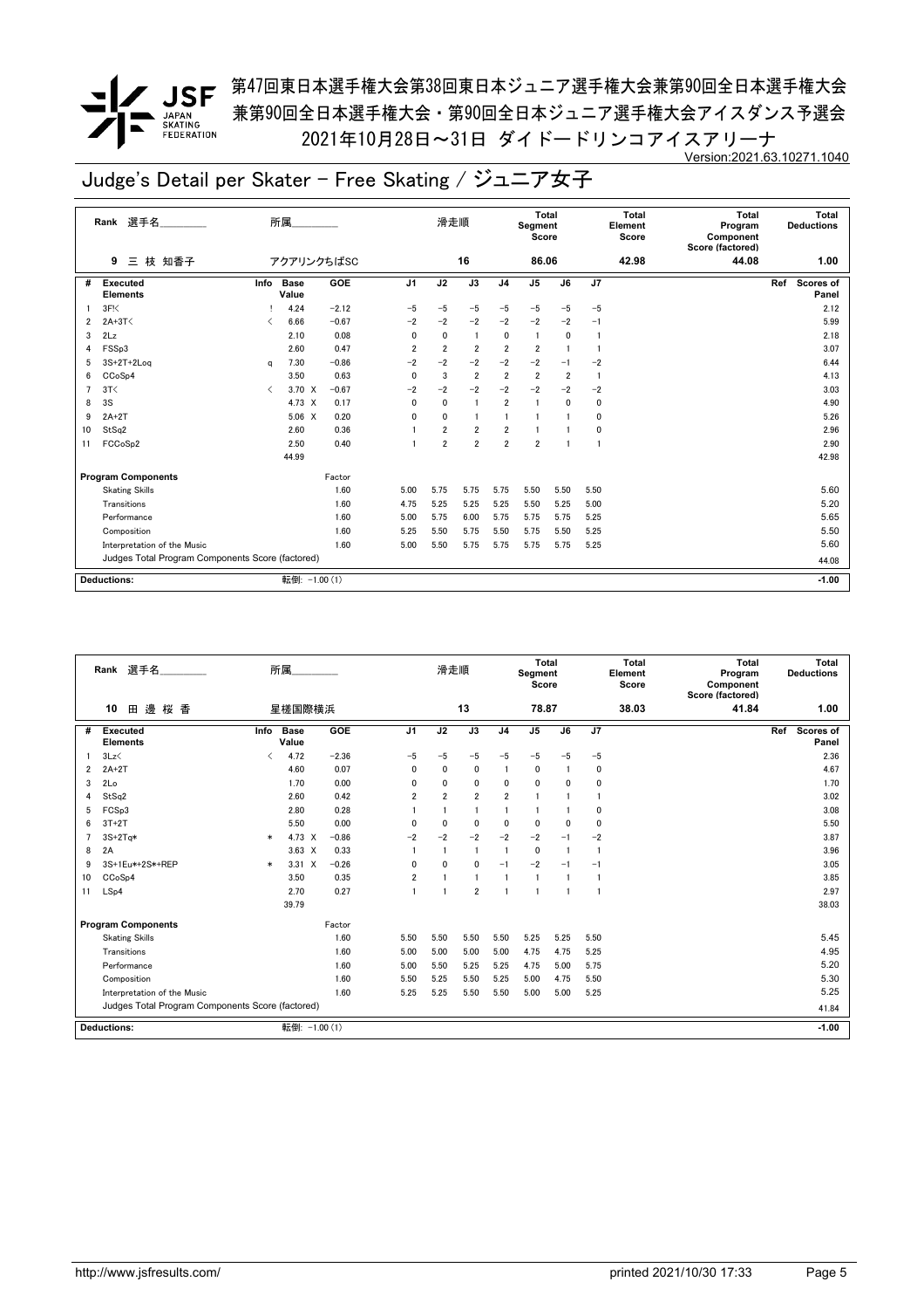**/ JSF** 第<sup>47</sup>回東日本選手権大会第38回東日本ジュニア選手権大会兼第90回全日本選手権大会 兼第90回全日本選手権大会・第90回全日本ジュニア選手権大会アイスダンス予選会 2021年10月28日~31日 ダイドードリンコアイスアリーナ Version:2021.63.10271.1040

|    | Rank 選手名                                         |                               | 所属                   |         |                | 滑走順            |                |                         | <b>Total</b><br>Segment<br>Score |                         |              | Total<br>Element<br>Score | Total<br>Program<br>Component<br>Score (factored) | Total<br><b>Deductions</b>       |
|----|--------------------------------------------------|-------------------------------|----------------------|---------|----------------|----------------|----------------|-------------------------|----------------------------------|-------------------------|--------------|---------------------------|---------------------------------------------------|----------------------------------|
|    | 枝 知香子<br>9<br>Ξ                                  |                               | アクアリンクちばSC           |         |                |                | 16             |                         | 86.06                            |                         |              | 42.98                     | 44.08                                             | 1.00                             |
| #  | <b>Executed</b><br><b>Elements</b>               | Info                          | <b>Base</b><br>Value | GOE     | J <sub>1</sub> | J2             | J3             | J <sub>4</sub>          | J5                               | J6                      | J7           |                           |                                                   | Ref<br><b>Scores of</b><br>Panel |
|    | 3F <sub>5</sub>                                  |                               | 4.24                 | $-2.12$ | $-5$           | $-5$           | $-5$           | $-5$                    | $-5$                             | $-5$                    | $-5$         |                           |                                                   | 2.12                             |
| 2  | $2A+3T<$                                         | ≺                             | 6.66                 | $-0.67$ | $-2$           | $-2$           | $-2$           | $-2$                    | $-2$                             | $-2$                    | $-1$         |                           |                                                   | 5.99                             |
| 3  | 2Lz                                              |                               | 2.10                 | 0.08    | 0              | 0              | $\blacksquare$ | 0                       | $\overline{1}$                   | 0                       | $\mathbf{1}$ |                           |                                                   | 2.18                             |
| 4  | FSSp3                                            |                               | 2.60                 | 0.47    | $\overline{2}$ | $\overline{2}$ | $\overline{2}$ | $\overline{2}$          | $\overline{2}$                   |                         | $\mathbf{1}$ |                           |                                                   | 3.07                             |
| 5  | $3S+2T+2Log$                                     | a                             | 7.30                 | $-0.86$ | $-2$           | $-2$           | $-2$           | $-2$                    | $-2$                             | $-1$                    | $-2$         |                           |                                                   | 6.44                             |
| 6  | CCoSp4                                           |                               | 3.50                 | 0.63    | 0              | 3              | $\overline{2}$ | $\overline{\mathbf{2}}$ | $\overline{2}$                   | $\overline{\mathbf{2}}$ | $\mathbf{1}$ |                           |                                                   | 4.13                             |
|    | 3T<                                              | $\overline{\left( \right. }%$ | $3.70 \times$        | $-0.67$ | $-2$           | $-2$           | $-2$           | $-2$                    | $-2$                             | $-2$                    | $-2$         |                           |                                                   | 3.03                             |
| 8  | 3S                                               |                               | 4.73 X               | 0.17    | 0              | $\mathbf{0}$   | $\overline{1}$ | $\overline{2}$          | $\mathbf{1}$                     | $\mathbf{0}$            | 0            |                           |                                                   | 4.90                             |
| 9  | $2A+2T$                                          |                               | 5.06 X               | 0.20    | 0              | 0              | $\blacksquare$ |                         |                                  |                         | 0            |                           |                                                   | 5.26                             |
| 10 | StSq2                                            |                               | 2.60                 | 0.36    |                | $\overline{2}$ | $\overline{2}$ | $\overline{2}$          |                                  |                         | 0            |                           |                                                   | 2.96                             |
| 11 | FCCoSp2                                          |                               | 2.50                 | 0.40    |                | $\overline{2}$ | $\overline{2}$ | $\overline{2}$          | $\overline{2}$                   |                         | $\mathbf{1}$ |                           |                                                   | 2.90                             |
|    |                                                  |                               | 44.99                |         |                |                |                |                         |                                  |                         |              |                           |                                                   | 42.98                            |
|    | <b>Program Components</b>                        |                               |                      | Factor  |                |                |                |                         |                                  |                         |              |                           |                                                   |                                  |
|    | <b>Skating Skills</b>                            |                               |                      | 1.60    | 5.00           | 5.75           | 5.75           | 5.75                    | 5.50                             | 5.50                    | 5.50         |                           |                                                   | 5.60                             |
|    | Transitions                                      |                               |                      | 1.60    | 4.75           | 5.25           | 5.25           | 5.25                    | 5.50                             | 5.25                    | 5.00         |                           |                                                   | 5.20                             |
|    | Performance                                      |                               |                      | 1.60    | 5.00           | 5.75           | 6.00           | 5.75                    | 5.75                             | 5.75                    | 5.25         |                           |                                                   | 5.65                             |
|    | Composition                                      |                               |                      | 1.60    | 5.25           | 5.50           | 5.75           | 5.50                    | 5.75                             | 5.50                    | 5.25         |                           |                                                   | 5.50                             |
|    | Interpretation of the Music                      |                               |                      | 1.60    | 5.00           | 5.50           | 5.75           | 5.75                    | 5.75                             | 5.75                    | 5.25         |                           |                                                   | 5.60                             |
|    | Judges Total Program Components Score (factored) |                               |                      |         |                |                |                |                         |                                  |                         |              |                           |                                                   | 44.08                            |
|    | <b>Deductions:</b>                               |                               | 転倒: -1.00 (1)        |         |                |                |                |                         |                                  |                         |              |                           |                                                   | $-1.00$                          |

|    | Rank 選手名                                         |                               | 所属                   |         |                | 滑走順            |                |                | Total<br>Segment<br>Score |              |                | <b>Total</b><br>Element<br>Score | <b>Total</b><br>Program<br>Component<br>Score (factored) | Total<br><b>Deductions</b>       |
|----|--------------------------------------------------|-------------------------------|----------------------|---------|----------------|----------------|----------------|----------------|---------------------------|--------------|----------------|----------------------------------|----------------------------------------------------------|----------------------------------|
|    | 邊桜香<br>10<br>田                                   |                               | 星槎国際横浜               |         |                |                | 13             |                | 78.87                     |              |                | 38.03                            | 41.84                                                    | 1.00                             |
| #  | Executed<br><b>Elements</b>                      | Info                          | <b>Base</b><br>Value | GOE     | J <sub>1</sub> | J2             | J3             | J <sub>4</sub> | J <sub>5</sub>            | J6           | J <sub>7</sub> |                                  |                                                          | Ref<br><b>Scores of</b><br>Panel |
|    | 3Lz                                              | $\overline{\left( \right. }%$ | 4.72                 | $-2.36$ | $-5$           | $-5$           | $-5$           | $-5$           | $-5$                      | $-5$         | $-5$           |                                  |                                                          | 2.36                             |
| 2  | $2A+2T$                                          |                               | 4.60                 | 0.07    | $\mathbf{0}$   | $\mathbf{0}$   | $\mathbf{0}$   | $\mathbf{1}$   | $\mathbf 0$               |              | 0              |                                  |                                                          | 4.67                             |
| 3  | 2Lo                                              |                               | 1.70                 | 0.00    | 0              | 0              | 0              | 0              | $\mathbf{0}$              | $\mathbf{0}$ | 0              |                                  |                                                          | 1.70                             |
| 4  | StSq2                                            |                               | 2.60                 | 0.42    | $\overline{2}$ | $\overline{2}$ | $\overline{2}$ | $\overline{2}$ | $\overline{1}$            |              | 1              |                                  |                                                          | 3.02                             |
| 5  | FCSp3                                            |                               | 2.80                 | 0.28    |                |                | 1              |                |                           |              | 0              |                                  |                                                          | 3.08                             |
| 6  | $3T+2T$                                          |                               | 5.50                 | 0.00    | $\mathbf{0}$   | $\mathbf{0}$   | $\mathbf{0}$   | 0              | $\mathbf 0$               | $\mathbf{0}$ | 0              |                                  |                                                          | 5.50                             |
|    | $3S+2Ta*$                                        | $\ast$                        | 4.73 X               | $-0.86$ | $-2$           | $-2$           | $-2$           | $-2$           | $-2$                      | $-1$         | $-2$           |                                  |                                                          | 3.87                             |
| 8  | 2A                                               |                               | $3.63 \times$        | 0.33    |                |                | -1             | $\mathbf{1}$   | $\Omega$                  |              | $\mathbf{1}$   |                                  |                                                          | 3.96                             |
| 9  | 3S+1Eu*+2S*+REP                                  | $\ast$                        | $3.31 \quad X$       | $-0.26$ | 0              | $\mathbf 0$    | 0              | $-1$           | $-2$                      | $-1$         | $-1$           |                                  |                                                          | 3.05                             |
| 10 | CCoSp4                                           |                               | 3.50                 | 0.35    | $\overline{2}$ |                | 1              |                | $\overline{1}$            |              | $\mathbf{1}$   |                                  |                                                          | 3.85                             |
| 11 | LSp4                                             |                               | 2.70                 | 0.27    |                |                | 2              |                | -1                        |              | 1              |                                  |                                                          | 2.97                             |
|    |                                                  |                               | 39.79                |         |                |                |                |                |                           |              |                |                                  |                                                          | 38.03                            |
|    | <b>Program Components</b>                        |                               |                      | Factor  |                |                |                |                |                           |              |                |                                  |                                                          |                                  |
|    | <b>Skating Skills</b>                            |                               |                      | 1.60    | 5.50           | 5.50           | 5.50           | 5.50           | 5.25                      | 5.25         | 5.50           |                                  |                                                          | 5.45                             |
|    | Transitions                                      |                               |                      | 1.60    | 5.00           | 5.00           | 5.00           | 5.00           | 4.75                      | 4.75         | 5.25           |                                  |                                                          | 4.95                             |
|    | Performance                                      |                               |                      | 1.60    | 5.00           | 5.50           | 5.25           | 5.25           | 4.75                      | 5.00         | 5.75           |                                  |                                                          | 5.20                             |
|    | Composition                                      |                               |                      | 1.60    | 5.50           | 5.25           | 5.50           | 5.25           | 5.00                      | 4.75         | 5.50           |                                  |                                                          | 5.30                             |
|    | Interpretation of the Music                      |                               |                      | 1.60    | 5.25           | 5.25           | 5.50           | 5.50           | 5.00                      | 5.00         | 5.25           |                                  |                                                          | 5.25                             |
|    | Judges Total Program Components Score (factored) |                               |                      |         |                |                |                |                |                           |              |                |                                  |                                                          | 41.84                            |
|    | <b>Deductions:</b>                               |                               | 転倒: -1.00 (1)        |         |                |                |                |                |                           |              |                |                                  |                                                          | $-1.00$                          |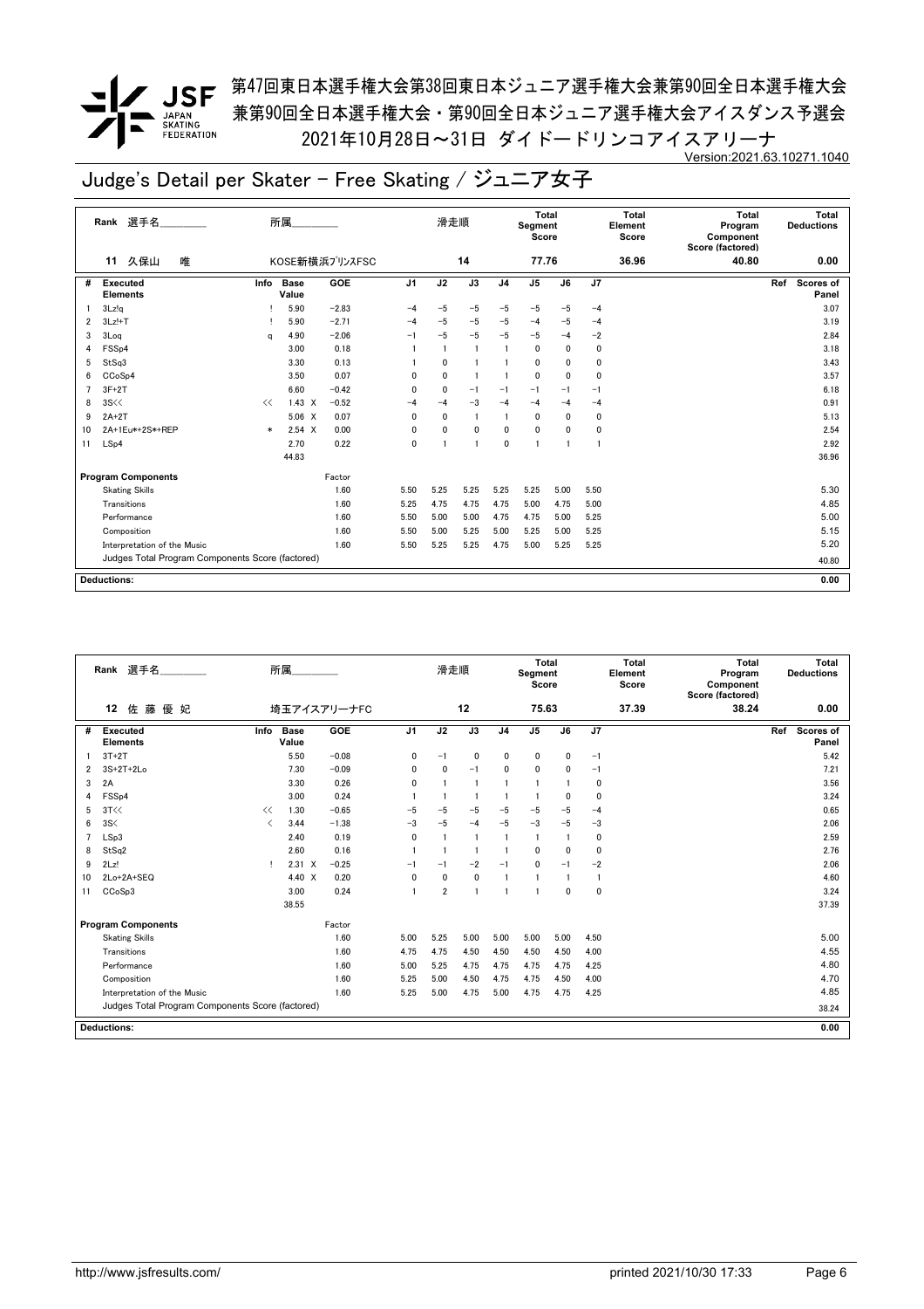# $\blacksquare$ JAPAN<br>SKATING<br>FEDERATION

**/ JSF** 第<sup>47</sup>回東日本選手権大会第38回東日本ジュニア選手権大会兼第90回全日本選手権大会 兼第90回全日本選手権大会・第90回全日本ジュニア選手権大会アイスダンス予選会 2021年10月28日~31日 ダイドードリンコアイスアリーナ Version:2021.63.10271.1040

|    | Rank 選手名                                         |        | 所属                   |                |                | 滑走順          |                 |                | Total<br>Segment<br>Score |                 |              | Total<br>Element<br>Score | <b>Total</b><br>Program<br>Component<br>Score (factored) | Total<br><b>Deductions</b>       |
|----|--------------------------------------------------|--------|----------------------|----------------|----------------|--------------|-----------------|----------------|---------------------------|-----------------|--------------|---------------------------|----------------------------------------------------------|----------------------------------|
|    | 久保山<br>唯<br>11                                   |        |                      | KOSE新横浜プリンスFSC |                |              | 14              |                | 77.76                     |                 |              | 36.96                     | 40.80                                                    | 0.00                             |
| #  | <b>Executed</b><br><b>Elements</b>               | Info   | <b>Base</b><br>Value | GOE            | J <sub>1</sub> | J2           | $\overline{J3}$ | J <sub>4</sub> | J <sub>5</sub>            | $\overline{J6}$ | J7           |                           |                                                          | Ref<br><b>Scores of</b><br>Panel |
|    | 3Lz!q                                            |        | 5.90                 | $-2.83$        | $-4$           | $-5$         | $-5$            | $-5$           | $-5$                      | $-5$            | $-4$         |                           |                                                          | 3.07                             |
| 2  | $3Lz!+T$                                         |        | 5.90                 | $-2.71$        | $-4$           | $-5$         | $-5$            | $-5$           | $-4$                      | $-5$            | $-4$         |                           |                                                          | 3.19                             |
| 3  | 3Log                                             | a      | 4.90                 | $-2.06$        | $-1$           | $-5$         | $-5$            | $-5$           | $-5$                      | $-4$            | $-2$         |                           |                                                          | 2.84                             |
|    | FSSp4                                            |        | 3.00                 | 0.18           |                |              | $\overline{1}$  |                | $\mathbf{0}$              | $\mathbf{0}$    | $\mathbf 0$  |                           |                                                          | 3.18                             |
| 5  | StSq3                                            |        | 3.30                 | 0.13           |                | 0            |                 |                | $\mathbf 0$               | $\mathbf{0}$    | 0            |                           |                                                          | 3.43                             |
| 6  | CC <sub>o</sub> S <sub>p4</sub>                  |        | 3.50                 | 0.07           | 0              | $\mathbf 0$  | -1              |                | $\mathbf 0$               | $\mathbf{0}$    | 0            |                           |                                                          | 3.57                             |
|    | $3F+2T$                                          |        | 6.60                 | $-0.42$        | $\mathbf{0}$   | $\mathbf{0}$ | $-1$            | $-1$           | $-1$                      | $-1$            | $-1$         |                           |                                                          | 6.18                             |
| 8  | 3S<<                                             | <<     | $1.43 \times$        | $-0.52$        | $-4$           | $-4$         | $-3$            | $-4$           | $-4$                      | $-4$            | $-4$         |                           |                                                          | 0.91                             |
| 9  | $2A+2T$                                          |        | 5.06 X               | 0.07           | 0              | $\mathbf 0$  | $\blacksquare$  |                | $\mathbf 0$               | 0               | $\mathbf 0$  |                           |                                                          | 5.13                             |
| 10 | 2A+1Eu*+2S*+REP                                  | $\ast$ | $2.54 \times$        | 0.00           | $\mathbf{0}$   | 0            | $\mathbf{0}$    | $\mathbf 0$    | $\mathbf{0}$              | $\mathbf{0}$    | 0            |                           |                                                          | 2.54                             |
| 11 | LSp4                                             |        | 2.70                 | 0.22           | $\mathbf{0}$   |              | -1              | 0              | $\overline{1}$            |                 | $\mathbf{1}$ |                           |                                                          | 2.92                             |
|    |                                                  |        | 44.83                |                |                |              |                 |                |                           |                 |              |                           |                                                          | 36.96                            |
|    | <b>Program Components</b>                        |        |                      | Factor         |                |              |                 |                |                           |                 |              |                           |                                                          |                                  |
|    | <b>Skating Skills</b>                            |        |                      | 1.60           | 5.50           | 5.25         | 5.25            | 5.25           | 5.25                      | 5.00            | 5.50         |                           |                                                          | 5.30                             |
|    | Transitions                                      |        |                      | 1.60           | 5.25           | 4.75         | 4.75            | 4.75           | 5.00                      | 4.75            | 5.00         |                           |                                                          | 4.85                             |
|    | Performance                                      |        |                      | 1.60           | 5.50           | 5.00         | 5.00            | 4.75           | 4.75                      | 5.00            | 5.25         |                           |                                                          | 5.00                             |
|    | Composition                                      |        |                      | 1.60           | 5.50           | 5.00         | 5.25            | 5.00           | 5.25                      | 5.00            | 5.25         |                           |                                                          | 5.15                             |
|    | Interpretation of the Music                      |        |                      | 1.60           | 5.50           | 5.25         | 5.25            | 4.75           | 5.00                      | 5.25            | 5.25         |                           |                                                          | 5.20                             |
|    | Judges Total Program Components Score (factored) |        |                      |                |                |              |                 |                |                           |                 |              |                           |                                                          | 40.80                            |
|    |                                                  |        |                      |                |                |              |                 |                |                           |                 |              |                           |                                                          |                                  |
|    | <b>Deductions:</b>                               |        |                      |                |                |              |                 |                |                           |                 |              |                           |                                                          | 0.00                             |

|    | 選手名<br>Rank                                      |                          | 所属                   |             |                | 滑走順            |                |                | <b>Total</b><br>Segment<br>Score |              |                | <b>Total</b><br>Element<br>Score | <b>Total</b><br>Program<br>Component<br>Score (factored) | Total<br><b>Deductions</b> |
|----|--------------------------------------------------|--------------------------|----------------------|-------------|----------------|----------------|----------------|----------------|----------------------------------|--------------|----------------|----------------------------------|----------------------------------------------------------|----------------------------|
|    | 佐藤優妃<br>12                                       |                          |                      | 埼玉アイスアリーナFC |                |                | 12             |                | 75.63                            |              |                | 37.39                            | 38.24                                                    | 0.00                       |
| #  | Executed<br><b>Elements</b>                      | Info                     | <b>Base</b><br>Value | GOE         | J <sub>1</sub> | J2             | J3             | J <sub>4</sub> | J <sub>5</sub>                   | J6           | J7             |                                  |                                                          | Ref<br>Scores of<br>Panel  |
|    | $3T+2T$                                          |                          | 5.50                 | $-0.08$     | 0              | $-1$           | $\mathbf 0$    | $\mathbf 0$    | 0                                | 0            | $-1$           |                                  |                                                          | 5.42                       |
| 2  | $3S+2T+2Lo$                                      |                          | 7.30                 | $-0.09$     | 0              | $\mathbf{0}$   | $-1$           | $\mathbf{0}$   | 0                                | 0            | $-1$           |                                  |                                                          | 7.21                       |
| 3  | 2A                                               |                          | 3.30                 | 0.26        | 0              | $\overline{1}$ | $\blacksquare$ | $\mathbf{1}$   | 1                                |              | 0              |                                  |                                                          | 3.56                       |
| 4  | FSSp4                                            |                          | 3.00                 | 0.24        |                |                |                |                | $\mathbf{1}$                     | 0            | 0              |                                  |                                                          | 3.24                       |
| 5  | 3T<<                                             | <<                       | 1.30                 | $-0.65$     | $-5$           | $-5$           | $-5$           | $-5$           | $-5$                             | $-5$         | $-4$           |                                  |                                                          | 0.65                       |
| 6  | 3S<                                              | $\overline{\phantom{a}}$ | 3.44                 | $-1.38$     | $-3$           | $-5$           | $-4$           | $-5$           | $-3$                             | $-5$         | $-3$           |                                  |                                                          | 2.06                       |
| 7  | LSp3                                             |                          | 2.40                 | 0.19        | $\mathbf{0}$   | -1             | -1             | -1             | 1                                | $\mathbf{1}$ | 0              |                                  |                                                          | 2.59                       |
| 8  | StSq2                                            |                          | 2.60                 | 0.16        |                |                | -1             | $\mathbf{1}$   | 0                                | 0            | 0              |                                  |                                                          | 2.76                       |
| 9  | 2Lz!                                             | Ţ.                       | $2.31 \t X$          | $-0.25$     | $-1$           | $-1$           | $-2$           | $-1$           | 0                                | $-1$         | $-2$           |                                  |                                                          | 2.06                       |
| 10 | 2Lo+2A+SEQ                                       |                          | 4.40 X               | 0.20        | $\mathbf{0}$   | $\mathbf{0}$   | $\mathbf{0}$   | -1             | 1                                | $\mathbf{1}$ | $\overline{1}$ |                                  |                                                          | 4.60                       |
| 11 | CCoSp3                                           |                          | 3.00                 | 0.24        |                | $\overline{2}$ | 1              | -1             |                                  | 0            | 0              |                                  |                                                          | 3.24                       |
|    |                                                  |                          | 38.55                |             |                |                |                |                |                                  |              |                |                                  |                                                          | 37.39                      |
|    | <b>Program Components</b>                        |                          |                      | Factor      |                |                |                |                |                                  |              |                |                                  |                                                          |                            |
|    | <b>Skating Skills</b>                            |                          |                      | 1.60        | 5.00           | 5.25           | 5.00           | 5.00           | 5.00                             | 5.00         | 4.50           |                                  |                                                          | 5.00                       |
|    | Transitions                                      |                          |                      | 1.60        | 4.75           | 4.75           | 4.50           | 4.50           | 4.50                             | 4.50         | 4.00           |                                  |                                                          | 4.55                       |
|    | Performance                                      |                          |                      | 1.60        | 5.00           | 5.25           | 4.75           | 4.75           | 4.75                             | 4.75         | 4.25           |                                  |                                                          | 4.80                       |
|    | Composition                                      |                          |                      | 1.60        | 5.25           | 5.00           | 4.50           | 4.75           | 4.75                             | 4.50         | 4.00           |                                  |                                                          | 4.70                       |
|    | Interpretation of the Music                      |                          |                      | 1.60        | 5.25           | 5.00           | 4.75           | 5.00           | 4.75                             | 4.75         | 4.25           |                                  |                                                          | 4.85                       |
|    | Judges Total Program Components Score (factored) |                          |                      |             |                |                |                |                |                                  |              |                |                                  |                                                          | 38.24                      |
|    | <b>Deductions:</b>                               |                          |                      |             |                |                |                |                |                                  |              |                |                                  |                                                          | 0.00                       |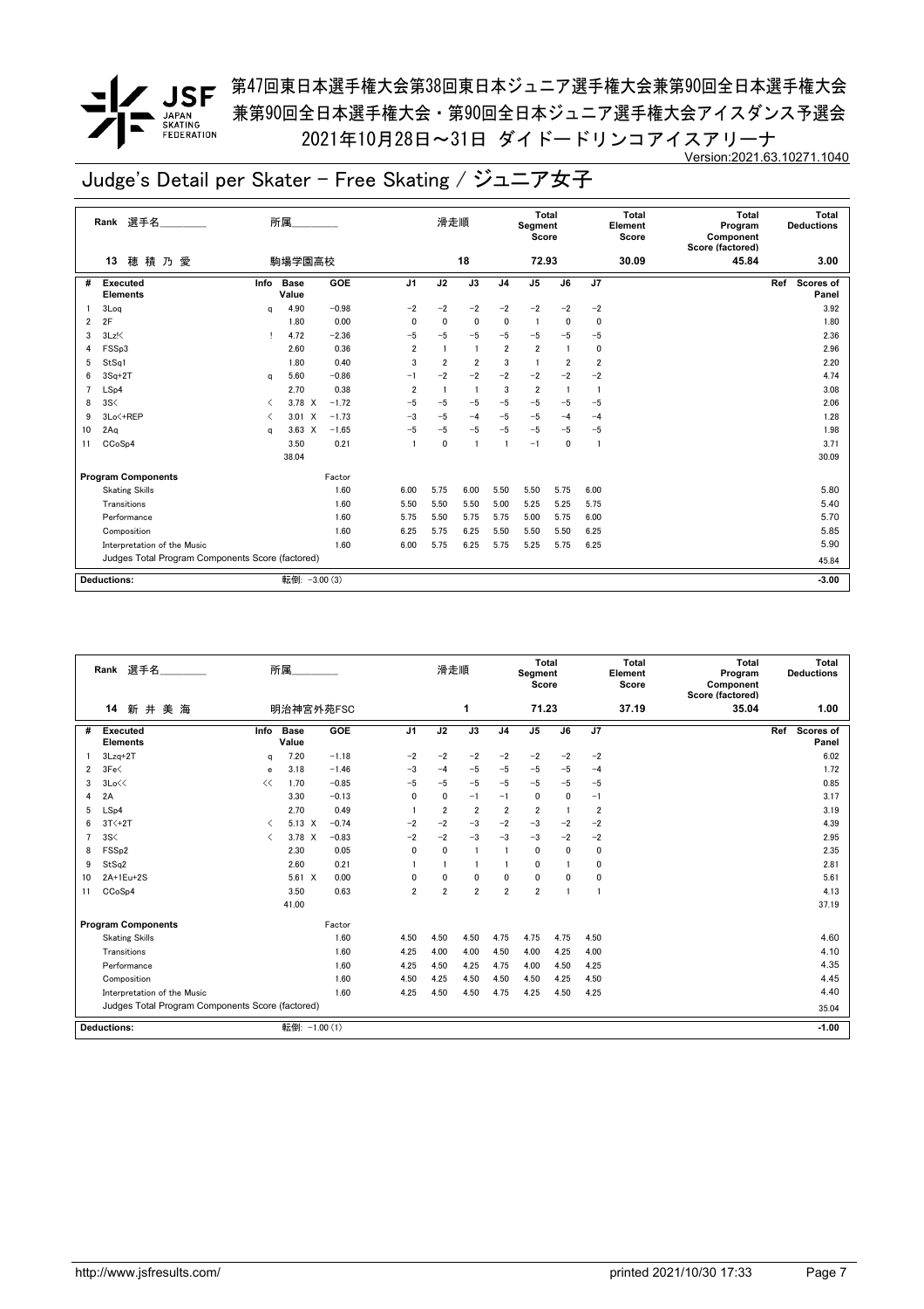**/ JSF** 第<sup>47</sup>回東日本選手権大会第38回東日本ジュニア選手権大会兼第90回全日本選手権大会 兼第90回全日本選手権大会・第90回全日本ジュニア選手権大会アイスダンス予選会 2021年10月28日~31日 ダイドードリンコアイスアリーナ Version:2021.63.10271.1040

|    | Rank 選手名                                         |          | 所属                   |         |                | 滑走順            |                |                | Total<br>Segment<br>Score |                |             | Total<br>Element<br>Score | Total<br>Program<br>Component<br>Score (factored) | Total<br><b>Deductions</b>       |
|----|--------------------------------------------------|----------|----------------------|---------|----------------|----------------|----------------|----------------|---------------------------|----------------|-------------|---------------------------|---------------------------------------------------|----------------------------------|
|    | 穂積乃愛<br>13                                       |          | 駒場学園高校               |         |                |                | 18             |                | 72.93                     |                |             | 30.09                     | 45.84                                             | 3.00                             |
| #  | <b>Executed</b><br><b>Elements</b>               | Info     | <b>Base</b><br>Value | GOE     | J <sub>1</sub> | J2             | J3             | J <sub>4</sub> | $\overline{J5}$           | J6             | J7          |                           |                                                   | Ref<br><b>Scores of</b><br>Panel |
|    | 3Log                                             | $\alpha$ | 4.90                 | $-0.98$ | $-2$           | $-2$           | $-2$           | $-2$           | $-2$                      | $-2$           | $-2$        |                           |                                                   | 3.92                             |
| 2  | 2F                                               |          | 1.80                 | 0.00    | $\mathbf{0}$   | $\mathbf 0$    | $\mathbf 0$    | $\mathbf 0$    | -1                        | $\mathbf{0}$   | $\mathbf 0$ |                           |                                                   | 1.80                             |
| 3  | $3Lz$ !                                          |          | 4.72                 | $-2.36$ | $-5$           | $-5$           | $-5$           | $-5$           | $-5$                      | $-5$           | $-5$        |                           |                                                   | 2.36                             |
| 4  | FSSp3                                            |          | 2.60                 | 0.36    | $\overline{2}$ | $\overline{1}$ | $\overline{1}$ | $\overline{2}$ | $\overline{2}$            | $\mathbf{1}$   | 0           |                           |                                                   | 2.96                             |
| 5  | StSq1                                            |          | 1.80                 | 0.40    | 3              | $\overline{2}$ | $\overline{2}$ | 3              |                           | $\overline{2}$ | 2           |                           |                                                   | 2.20                             |
| 6  | $3Sq+2T$                                         | a        | 5.60                 | $-0.86$ | $-1$           | $-2$           | $-2$           | $-2$           | $-2$                      | $-2$           | $-2$        |                           |                                                   | 4.74                             |
|    | LSp4                                             |          | 2.70                 | 0.38    | $\overline{2}$ | $\overline{1}$ | $\overline{1}$ | 3              | $\overline{2}$            | -1             | -1          |                           |                                                   | 3.08                             |
| 8  | 3S<                                              | ≺        | 3.78 X               | $-1.72$ | $-5$           | -5             | $-5$           | $-5$           | $-5$                      | $-5$           | $-5$        |                           |                                                   | 2.06                             |
| 9  | 3Lo<+REP                                         | ✓        | $3.01 \quad X$       | $-1.73$ | $-3$           | $-5$           | $-4$           | $-5$           | $-5$                      | $-4$           | $-4$        |                           |                                                   | 1.28                             |
| 10 | 2Aq                                              | a        | $3.63 \times$        | $-1.65$ | $-5$           | $-5$           | $-5$           | $-5$           | $-5$                      | $-5$           | $-5$        |                           |                                                   | 1.98                             |
| 11 | CCoSp4                                           |          | 3.50                 | 0.21    |                | $\mathbf 0$    | $\overline{1}$ | $\mathbf{1}$   | $-1$                      | 0              | -1          |                           |                                                   | 3.71                             |
|    |                                                  |          | 38.04                |         |                |                |                |                |                           |                |             |                           |                                                   | 30.09                            |
|    | <b>Program Components</b>                        |          |                      | Factor  |                |                |                |                |                           |                |             |                           |                                                   |                                  |
|    | <b>Skating Skills</b>                            |          |                      | 1.60    | 6.00           | 5.75           | 6.00           | 5.50           | 5.50                      | 5.75           | 6.00        |                           |                                                   | 5.80                             |
|    | Transitions                                      |          |                      | 1.60    | 5.50           | 5.50           | 5.50           | 5.00           | 5.25                      | 5.25           | 5.75        |                           |                                                   | 5.40                             |
|    | Performance                                      |          |                      | 1.60    | 5.75           | 5.50           | 5.75           | 5.75           | 5.00                      | 5.75           | 6.00        |                           |                                                   | 5.70                             |
|    | Composition                                      |          |                      | 1.60    | 6.25           | 5.75           | 6.25           | 5.50           | 5.50                      | 5.50           | 6.25        |                           |                                                   | 5.85                             |
|    | Interpretation of the Music                      |          |                      | 1.60    | 6.00           | 5.75           | 6.25           | 5.75           | 5.25                      | 5.75           | 6.25        |                           |                                                   | 5.90                             |
|    | Judges Total Program Components Score (factored) |          |                      |         |                |                |                |                |                           |                |             |                           |                                                   | 45.84                            |
|    |                                                  |          |                      |         |                |                |                |                |                           |                |             |                           |                                                   |                                  |
|    | <b>Deductions:</b>                               |          | 転倒: - 3.00 (3)       |         |                |                |                |                |                           |                |             |                           |                                                   | $-3.00$                          |

|    | 選手名<br>Rank                                      |                                          | 所属                   |         |                | 滑走順            |                |                         | Total<br>Segment<br>Score |                |                | <b>Total</b><br>Element<br>Score | <b>Total</b><br>Program<br>Component<br>Score (factored) |     | Total<br><b>Deductions</b> |
|----|--------------------------------------------------|------------------------------------------|----------------------|---------|----------------|----------------|----------------|-------------------------|---------------------------|----------------|----------------|----------------------------------|----------------------------------------------------------|-----|----------------------------|
|    | 新井美海<br>14                                       |                                          | 明治神宮外苑FSC            |         |                |                | 1              |                         | 71.23                     |                |                | 37.19                            | 35.04                                                    |     | 1.00                       |
| #  | <b>Executed</b><br><b>Elements</b>               | Info                                     | <b>Base</b><br>Value | GOE     | J <sub>1</sub> | J2             | J3             | J <sub>4</sub>          | J <sub>5</sub>            | J6             | J <sub>7</sub> |                                  |                                                          | Ref | Scores of<br>Panel         |
|    | $3Lzq+2T$                                        | $\alpha$                                 | 7.20                 | $-1.18$ | $-2$           | $-2$           | $-2$           | $-2$                    | $-2$                      | $-2$           | $-2$           |                                  |                                                          |     | 6.02                       |
| 2  | 3Fe<                                             | e                                        | 3.18                 | $-1.46$ | $-3$           | $-4$           | $-5$           | $-5$                    | $-5$                      | $-5$           | $-4$           |                                  |                                                          |     | 1.72                       |
| 3  | 3Lo<<                                            | <<                                       | 1.70                 | $-0.85$ | $-5$           | $-5$           | $-5$           | $-5$                    | $-5$                      | $-5$           | $-5$           |                                  |                                                          |     | 0.85                       |
| 4  | 2A                                               |                                          | 3.30                 | $-0.13$ | 0              | $\mathbf{0}$   | $-1$           | $-1$                    | 0                         | $\Omega$       | $-1$           |                                  |                                                          |     | 3.17                       |
| 5  | LSp4                                             |                                          | 2.70                 | 0.49    |                | $\overline{2}$ | $\overline{2}$ | $\overline{2}$          | $\overline{2}$            |                | $\overline{2}$ |                                  |                                                          |     | 3.19                       |
| 6  | $3T<+2T$                                         | $\overline{\left\langle \right\rangle }$ | $5.13 \times$        | $-0.74$ | $-2$           | $-2$           | $-3$           | $-2$                    | $-3$                      | $-2$           | $-2$           |                                  |                                                          |     | 4.39                       |
| 7  | 3S<                                              | $\overline{\left( \right. }%$            | 3.78 X               | $-0.83$ | $-2$           | $-2$           | $-3$           | $-3$                    | $-3$                      | $-2$           | $-2$           |                                  |                                                          |     | 2.95                       |
| 8  | FSS <sub>p2</sub>                                |                                          | 2.30                 | 0.05    | 0              | $\mathbf{0}$   | -1             | $\overline{\mathbf{1}}$ | $\mathbf{0}$              | $\Omega$       | 0              |                                  |                                                          |     | 2.35                       |
| 9  | StSq2                                            |                                          | 2.60                 | 0.21    |                |                | 1              |                         | 0                         |                | 0              |                                  |                                                          |     | 2.81                       |
| 10 | 2A+1Eu+2S                                        |                                          | $5.61 \t X$          | 0.00    | 0              | $\Omega$       | $\Omega$       | $\mathbf{0}$            | $\mathbf{0}$              | $\Omega$       | 0              |                                  |                                                          |     | 5.61                       |
| 11 | CCoSp4                                           |                                          | 3.50                 | 0.63    | $\overline{2}$ | $\overline{2}$ | $\overline{2}$ | $\overline{2}$          | $\overline{2}$            | $\overline{1}$ |                |                                  |                                                          |     | 4.13                       |
|    |                                                  |                                          | 41.00                |         |                |                |                |                         |                           |                |                |                                  |                                                          |     | 37.19                      |
|    | <b>Program Components</b>                        |                                          |                      | Factor  |                |                |                |                         |                           |                |                |                                  |                                                          |     |                            |
|    | <b>Skating Skills</b>                            |                                          |                      | 1.60    | 4.50           | 4.50           | 4.50           | 4.75                    | 4.75                      | 4.75           | 4.50           |                                  |                                                          |     | 4.60                       |
|    | Transitions                                      |                                          |                      | 1.60    | 4.25           | 4.00           | 4.00           | 4.50                    | 4.00                      | 4.25           | 4.00           |                                  |                                                          |     | 4.10                       |
|    | Performance                                      |                                          |                      | 1.60    | 4.25           | 4.50           | 4.25           | 4.75                    | 4.00                      | 4.50           | 4.25           |                                  |                                                          |     | 4.35                       |
|    | Composition                                      |                                          |                      | 1.60    | 4.50           | 4.25           | 4.50           | 4.50                    | 4.50                      | 4.25           | 4.50           |                                  |                                                          |     | 4.45                       |
|    | Interpretation of the Music                      |                                          |                      | 1.60    | 4.25           | 4.50           | 4.50           | 4.75                    | 4.25                      | 4.50           | 4.25           |                                  |                                                          |     | 4.40                       |
|    | Judges Total Program Components Score (factored) |                                          |                      |         |                |                |                |                         |                           |                |                |                                  |                                                          |     | 35.04                      |
|    | <b>Deductions:</b>                               |                                          | 転倒: -1.00 (1)        |         |                |                |                |                         |                           |                |                |                                  |                                                          |     | $-1.00$                    |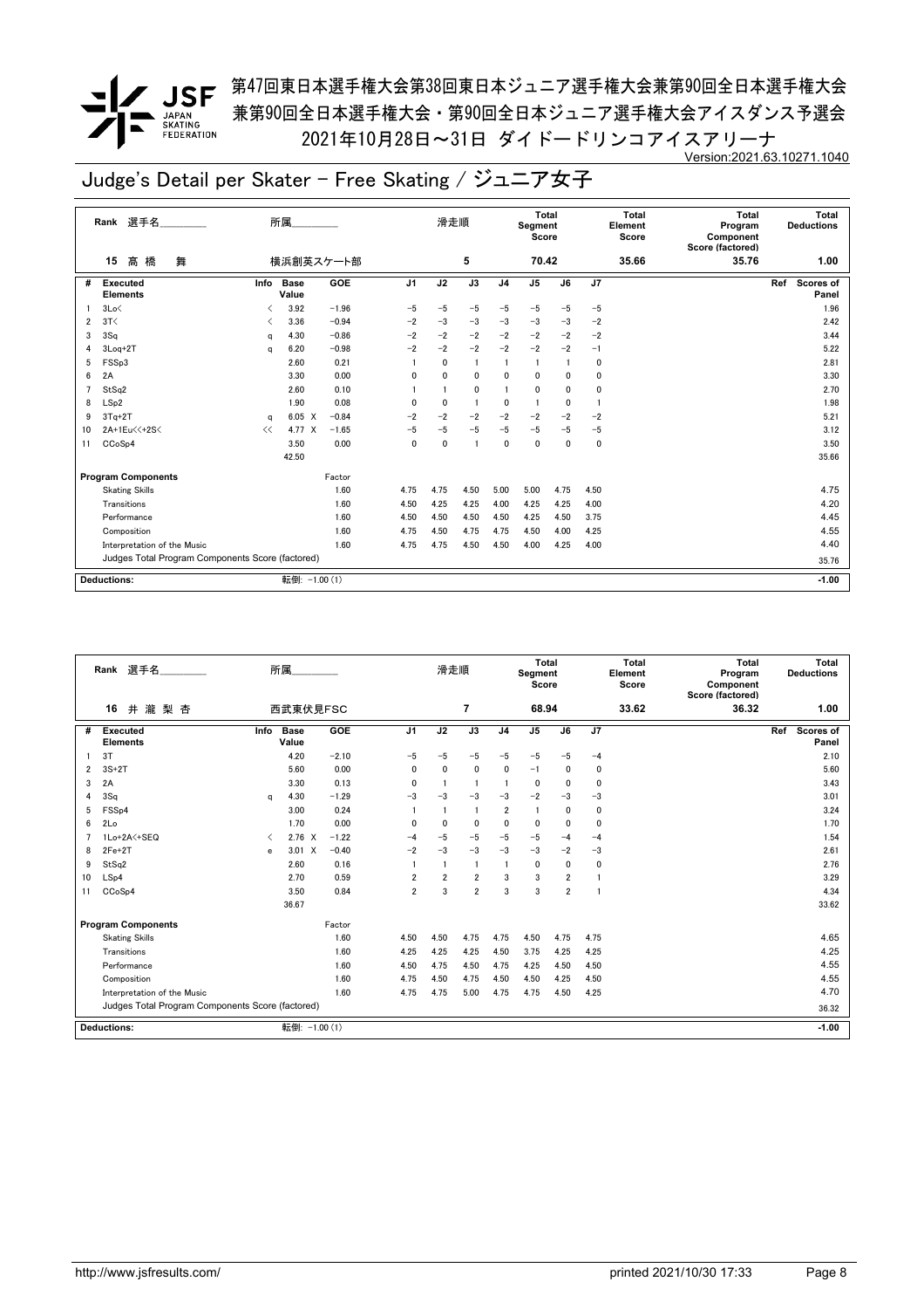<u>●</u> <br>● JSF <sup>第47回東日本選手権大会第38回東日本ジュニア選手権大会兼第90回全日本選手権大会</sup> 兼第90回全日本選手権大会・第90回全日本ジュニア選手権大会アイスダンス予選会 2021年10月28日~31日 ダイドードリンコアイスアリーナ Version:2021.63.10271.1040

|    | Rank 選手名                                         |      | 所属                   |           |                | 滑走順          |                |                | Total<br>Segment<br>Score |              |      | <b>Total</b><br>Element<br>Score | <b>Total</b><br>Program<br>Component<br>Score (factored) | Total<br><b>Deductions</b>       |
|----|--------------------------------------------------|------|----------------------|-----------|----------------|--------------|----------------|----------------|---------------------------|--------------|------|----------------------------------|----------------------------------------------------------|----------------------------------|
|    | 髙橋<br>舞<br>15                                    |      |                      | 横浜創英スケート部 |                |              | 5              |                | 70.42                     |              |      | 35.66                            | 35.76                                                    | 1.00                             |
| #  | <b>Executed</b><br><b>Elements</b>               | Info | <b>Base</b><br>Value | GOE       | J <sub>1</sub> | J2           | J3             | J <sub>4</sub> | J5                        | J6           | J7   |                                  |                                                          | <b>Scores of</b><br>Ref<br>Panel |
|    | 3Lo<                                             |      | 3.92                 | $-1.96$   | $-5$           | $-5$         | $-5$           | $-5$           | $-5$                      | $-5$         | $-5$ |                                  |                                                          | 1.96                             |
| 2  | 3T<                                              |      | 3.36                 | $-0.94$   | $-2$           | $-3$         | $-3$           | $-3$           | $-3$                      | $-3$         | $-2$ |                                  |                                                          | 2.42                             |
| 3  | 3Sq                                              | q    | 4.30                 | $-0.86$   | $-2$           | $-2$         | $-2$           | $-2$           | $-2$                      | $-2$         | $-2$ |                                  |                                                          | 3.44                             |
| 4  | $3$ Loq $+2$ T                                   | a    | 6.20                 | $-0.98$   | $-2$           | $-2$         | $-2$           | $-2$           | $-2$                      | $-2$         | $-1$ |                                  |                                                          | 5.22                             |
| 5  | FSSp3                                            |      | 2.60                 | 0.21      |                | $\mathbf{0}$ | $\blacksquare$ | $\mathbf{1}$   | -1                        |              | 0    |                                  |                                                          | 2.81                             |
| 6  | 2A                                               |      | 3.30                 | 0.00      | $\mathbf{0}$   | 0            | $\mathbf{0}$   | 0              | $\mathbf 0$               | $\mathbf{0}$ | 0    |                                  |                                                          | 3.30                             |
|    | StSa2                                            |      | 2.60                 | 0.10      |                |              | $\mathbf{0}$   |                | $\mathbf{0}$              | $\mathbf{0}$ | 0    |                                  |                                                          | 2.70                             |
| 8  | LSp2                                             |      | 1.90                 | 0.08      | 0              | $\mathbf{0}$ | -1             | 0              | $\mathbf{1}$              | $\mathbf{0}$ | -1   |                                  |                                                          | 1.98                             |
| 9  | $3Tq+2T$                                         | a    | $6.05 \quad X$       | $-0.84$   | $-2$           | $-2$         | $-2$           | $-2$           | $-2$                      | $-2$         | $-2$ |                                  |                                                          | 5.21                             |
| 10 | 2A+1Eu<<+2S<                                     | <<   | 4.77 X               | $-1.65$   | $-5$           | $-5$         | $-5$           | $-5$           | $-5$                      | $-5$         | $-5$ |                                  |                                                          | 3.12                             |
| 11 | CCoSp4                                           |      | 3.50                 | 0.00      | $\mathbf{0}$   | $\mathbf{0}$ | $\overline{1}$ | $\mathbf{0}$   | $\Omega$                  | $\mathbf{0}$ | 0    |                                  |                                                          | 3.50                             |
|    |                                                  |      | 42.50                |           |                |              |                |                |                           |              |      |                                  |                                                          | 35.66                            |
|    | <b>Program Components</b>                        |      |                      | Factor    |                |              |                |                |                           |              |      |                                  |                                                          |                                  |
|    | <b>Skating Skills</b>                            |      |                      | 1.60      | 4.75           | 4.75         | 4.50           | 5.00           | 5.00                      | 4.75         | 4.50 |                                  |                                                          | 4.75                             |
|    | Transitions                                      |      |                      | 1.60      | 4.50           | 4.25         | 4.25           | 4.00           | 4.25                      | 4.25         | 4.00 |                                  |                                                          | 4.20                             |
|    | Performance                                      |      |                      | 1.60      | 4.50           | 4.50         | 4.50           | 4.50           | 4.25                      | 4.50         | 3.75 |                                  |                                                          | 4.45                             |
|    | Composition                                      |      |                      | 1.60      | 4.75           | 4.50         | 4.75           | 4.75           | 4.50                      | 4.00         | 4.25 |                                  |                                                          | 4.55                             |
|    | Interpretation of the Music                      |      |                      | 1.60      | 4.75           | 4.75         | 4.50           | 4.50           | 4.00                      | 4.25         | 4.00 |                                  |                                                          | 4.40                             |
|    | Judges Total Program Components Score (factored) |      |                      |           |                |              |                |                |                           |              |      |                                  |                                                          | 35.76                            |
|    |                                                  |      |                      |           |                |              |                |                |                           |              |      |                                  |                                                          |                                  |
|    | <b>Deductions:</b>                               |      | 転倒: -1.00 (1)        |           |                |              |                |                |                           |              |      |                                  |                                                          | $-1.00$                          |

|    | Rank 選手名                                         |      | 所属                   |         |                | 滑走順            |                |                | Total<br>Segment<br>Score |                |                | <b>Total</b><br>Element<br>Score | <b>Total</b><br>Program<br>Component<br>Score (factored) | <b>Deductions</b>       | Total   |
|----|--------------------------------------------------|------|----------------------|---------|----------------|----------------|----------------|----------------|---------------------------|----------------|----------------|----------------------------------|----------------------------------------------------------|-------------------------|---------|
|    | 井瀧梨杏<br>16                                       |      | 西武東伏見FSC             |         |                |                | 7              |                | 68.94                     |                |                | 33.62                            | 36.32                                                    |                         | 1.00    |
| #  | Executed<br><b>Elements</b>                      | Info | <b>Base</b><br>Value | GOE     | J <sub>1</sub> | J2             | J3             | J <sub>4</sub> | J <sub>5</sub>            | J6             | J <sub>7</sub> |                                  |                                                          | Ref<br><b>Scores of</b> | Panel   |
|    | 3T                                               |      | 4.20                 | $-2.10$ | $-5$           | $-5$           | $-5$           | $-5$           | $-5$                      | $-5$           | $-4$           |                                  |                                                          |                         | 2.10    |
| 2  | $3S+2T$                                          |      | 5.60                 | 0.00    | $\mathbf{0}$   | $\mathbf{0}$   | $\mathbf{0}$   | $\mathbf{0}$   | $-1$                      | $\mathbf{0}$   | 0              |                                  |                                                          |                         | 5.60    |
| 3  | 2A                                               |      | 3.30                 | 0.13    | $\mathbf{0}$   |                |                |                | $\mathbf 0$               | $\mathbf{0}$   | 0              |                                  |                                                          |                         | 3.43    |
| 4  | 3Sq                                              | a    | 4.30                 | $-1.29$ | $-3$           | $-3$           | $-3$           | $-3$           | $-2$                      | $-3$           | $-3$           |                                  |                                                          |                         | 3.01    |
| 5  | FSS <sub>p4</sub>                                |      | 3.00                 | 0.24    |                |                | $\blacksquare$ | $\overline{2}$ | $\mathbf{1}$              | $\mathbf{0}$   | 0              |                                  |                                                          |                         | 3.24    |
| 6  | 2Lo                                              |      | 1.70                 | 0.00    | $\mathbf{0}$   | $\mathbf{0}$   | $\mathbf{0}$   | $\mathbf{0}$   | $\mathbf 0$               | $\mathbf{0}$   | 0              |                                  |                                                          |                         | 1.70    |
|    | 1Lo+2A <+SEQ                                     | ≺    | $2.76 \times$        | $-1.22$ | $-4$           | $-5$           | $-5$           | $-5$           | $-5$                      | $-4$           | $-4$           |                                  |                                                          |                         | 1.54    |
| 8  | $2Fe+2T$                                         | e    | $3.01 \quad X$       | $-0.40$ | $-2$           | $-3$           | $-3$           | $-3$           | $-3$                      | $-2$           | $-3$           |                                  |                                                          |                         | 2.61    |
| 9  | StSq2                                            |      | 2.60                 | 0.16    |                |                | -1             |                | $\mathbf 0$               | 0              | 0              |                                  |                                                          |                         | 2.76    |
| 10 | LSp4                                             |      | 2.70                 | 0.59    | $\overline{2}$ | $\overline{2}$ | $\overline{2}$ | 3              | 3                         | $\overline{2}$ | 1              |                                  |                                                          |                         | 3.29    |
| 11 | CCoSp4                                           |      | 3.50                 | 0.84    | 2              | 3              | 2              | 3              | 3                         | $\overline{2}$ | 1              |                                  |                                                          |                         | 4.34    |
|    |                                                  |      | 36.67                |         |                |                |                |                |                           |                |                |                                  |                                                          |                         | 33.62   |
|    | <b>Program Components</b>                        |      |                      | Factor  |                |                |                |                |                           |                |                |                                  |                                                          |                         |         |
|    | <b>Skating Skills</b>                            |      |                      | 1.60    | 4.50           | 4.50           | 4.75           | 4.75           | 4.50                      | 4.75           | 4.75           |                                  |                                                          |                         | 4.65    |
|    | Transitions                                      |      |                      | 1.60    | 4.25           | 4.25           | 4.25           | 4.50           | 3.75                      | 4.25           | 4.25           |                                  |                                                          |                         | 4.25    |
|    | Performance                                      |      |                      | 1.60    | 4.50           | 4.75           | 4.50           | 4.75           | 4.25                      | 4.50           | 4.50           |                                  |                                                          |                         | 4.55    |
|    | Composition                                      |      |                      | 1.60    | 4.75           | 4.50           | 4.75           | 4.50           | 4.50                      | 4.25           | 4.50           |                                  |                                                          |                         | 4.55    |
|    | Interpretation of the Music                      |      |                      | 1.60    | 4.75           | 4.75           | 5.00           | 4.75           | 4.75                      | 4.50           | 4.25           |                                  |                                                          |                         | 4.70    |
|    | Judges Total Program Components Score (factored) |      |                      |         |                |                |                |                |                           |                |                |                                  |                                                          |                         | 36.32   |
|    | <b>Deductions:</b>                               |      | 転倒: -1.00 (1)        |         |                |                |                |                |                           |                |                |                                  |                                                          |                         | $-1.00$ |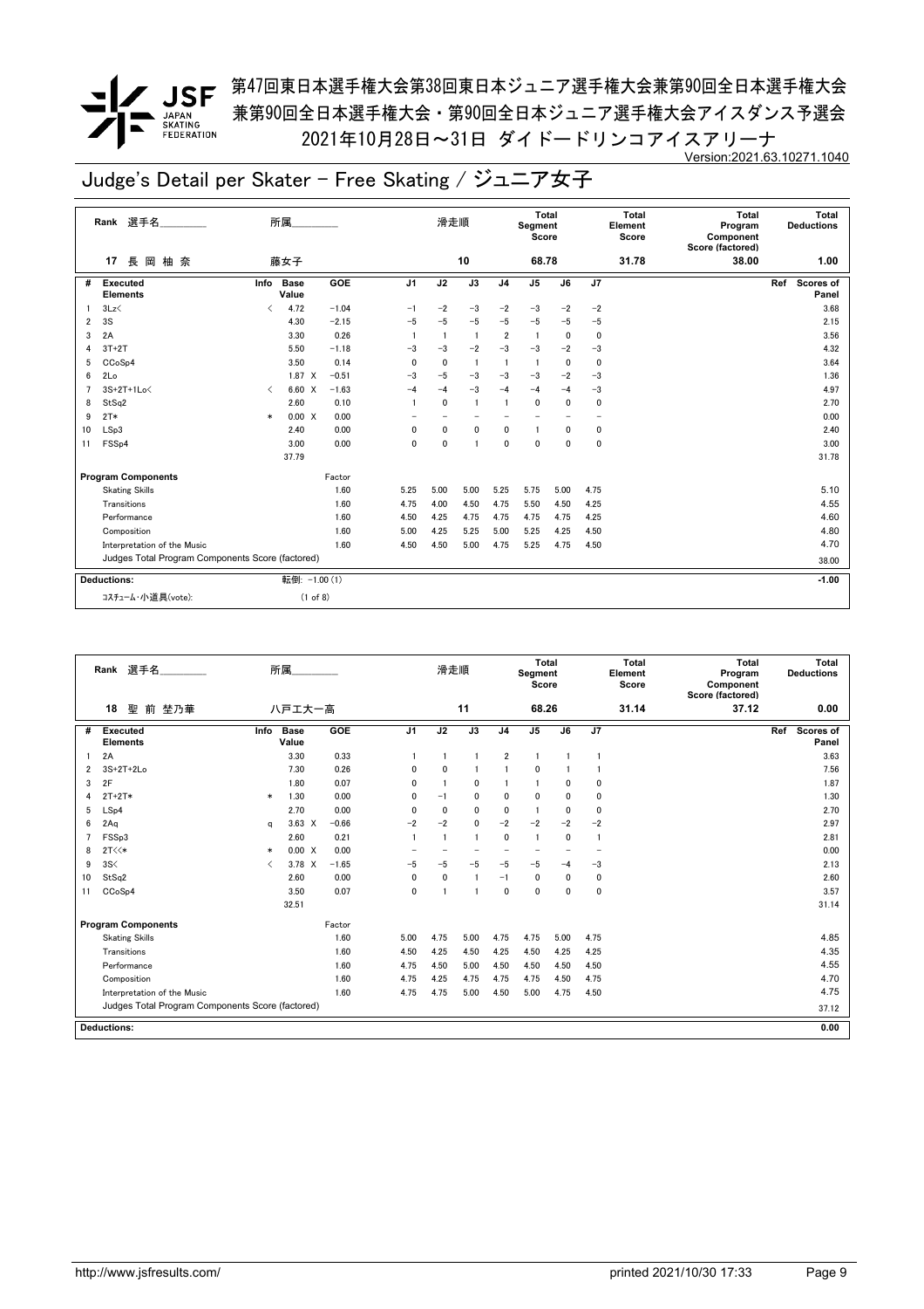*▼* JSF <sup>第47回東日本選手権大会第38回東日本ジュニア選手権大会兼第90回全日本選手権大会</sup> 兼第90回全日本選手権大会・第90回全日本ジュニア選手権大会アイスダンス予選会 2021年10月28日~31日 ダイドードリンコアイスアリーナ Version:2021.63.10271.1040

|    | Rank 選手名                                         |        | 所属                   |         |                          | 滑走順                      |                          |                | Total<br>Segment<br>Score |      |                          | Total<br>Element<br>Score | <b>Total</b><br>Program<br>Component<br>Score (factored) | Total<br><b>Deductions</b> |
|----|--------------------------------------------------|--------|----------------------|---------|--------------------------|--------------------------|--------------------------|----------------|---------------------------|------|--------------------------|---------------------------|----------------------------------------------------------|----------------------------|
|    | 長 岡<br>柚 奈<br>17                                 |        | 藤女子                  |         |                          |                          | 10                       |                | 68.78                     |      |                          | 31.78                     | 38.00                                                    | 1.00                       |
| #  | Executed<br><b>Elements</b>                      | Info   | <b>Base</b><br>Value | GOE     | J <sub>1</sub>           | J2                       | $\overline{J3}$          | J <sub>4</sub> | J <sub>5</sub>            | J6   | J7                       |                           |                                                          | Scores of<br>Ref<br>Panel  |
|    | 3Lz                                              | ✓      | 4.72                 | $-1.04$ | $-1$                     | $-2$                     | $-3$                     | $-2$           | $-3$                      | $-2$ | $-2$                     |                           |                                                          | 3.68                       |
| 2  | 3S                                               |        | 4.30                 | $-2.15$ | $-5$                     | $-5$                     | $-5$                     | $-5$           | $-5$                      | $-5$ | $-5$                     |                           |                                                          | 2.15                       |
| 3  | 2A                                               |        | 3.30                 | 0.26    |                          | $\overline{1}$           | $\overline{1}$           | $\overline{2}$ | $\overline{1}$            | 0    | 0                        |                           |                                                          | 3.56                       |
|    | $3T+2T$                                          |        | 5.50                 | $-1.18$ | $-3$                     | $-3$                     | $-2$                     | $-3$           | $-3$                      | $-2$ | $-3$                     |                           |                                                          | 4.32                       |
| 5  | CCoSp4                                           |        | 3.50                 | 0.14    | 0                        | 0                        | $\overline{1}$           | -1             | -1                        | 0    | $\mathbf 0$              |                           |                                                          | 3.64                       |
| 6  | 2Lo                                              |        | $1.87 \t X$          | $-0.51$ | $-3$                     | $-5$                     | $-3$                     | $-3$           | $-3$                      | $-2$ | $-3$                     |                           |                                                          | 1.36                       |
|    | 3S+2T+1Lo<                                       | ≺      | 6.60 X               | $-1.63$ | $-4$                     | $-4$                     | $-3$                     | $-4$           | $-4$                      | $-4$ | $-3$                     |                           |                                                          | 4.97                       |
| 8  | StSq2                                            |        | 2.60                 | 0.10    | $\overline{1}$           | $\mathbf{0}$             | $\overline{1}$           |                | $\mathbf{0}$              | 0    | 0                        |                           |                                                          | 2.70                       |
| 9  | $2T*$                                            | $\ast$ | 0.00 X               | 0.00    | $\overline{\phantom{0}}$ | $\overline{\phantom{0}}$ | $\overline{\phantom{0}}$ |                | $\overline{\phantom{0}}$  |      | $\overline{\phantom{0}}$ |                           |                                                          | 0.00                       |
| 10 | LSp3                                             |        | 2.40                 | 0.00    | $\mathbf 0$              | $\mathbf 0$              | $\mathbf 0$              | 0              | $\mathbf{1}$              | 0    | $\mathbf 0$              |                           |                                                          | 2.40                       |
| 11 | FSS <sub>p4</sub>                                |        | 3.00                 | 0.00    | $\mathbf 0$              | $\mathbf{0}$             | $\overline{1}$           | $\mathbf{0}$   | $\mathbf{0}$              | 0    | $\mathbf 0$              |                           |                                                          | 3.00                       |
|    |                                                  |        | 37.79                |         |                          |                          |                          |                |                           |      |                          |                           |                                                          | 31.78                      |
|    | <b>Program Components</b>                        |        |                      | Factor  |                          |                          |                          |                |                           |      |                          |                           |                                                          |                            |
|    | <b>Skating Skills</b>                            |        |                      | 1.60    | 5.25                     | 5.00                     | 5.00                     | 5.25           | 5.75                      | 5.00 | 4.75                     |                           |                                                          | 5.10                       |
|    | Transitions                                      |        |                      | 1.60    | 4.75                     | 4.00                     | 4.50                     | 4.75           | 5.50                      | 4.50 | 4.25                     |                           |                                                          | 4.55                       |
|    | Performance                                      |        |                      | 1.60    | 4.50                     | 4.25                     | 4.75                     | 4.75           | 4.75                      | 4.75 | 4.25                     |                           |                                                          | 4.60                       |
|    | Composition                                      |        |                      | 1.60    | 5.00                     | 4.25                     | 5.25                     | 5.00           | 5.25                      | 4.25 | 4.50                     |                           |                                                          | 4.80                       |
|    | Interpretation of the Music                      |        |                      | 1.60    | 4.50                     | 4.50                     | 5.00                     | 4.75           | 5.25                      | 4.75 | 4.50                     |                           |                                                          | 4.70                       |
|    | Judges Total Program Components Score (factored) |        |                      |         |                          |                          |                          |                |                           |      |                          |                           |                                                          | 38.00                      |
|    | <b>Deductions:</b>                               |        | 転倒: -1.00 (1)        |         |                          |                          |                          |                |                           |      |                          |                           |                                                          | $-1.00$                    |
|    | コスチューム・小道具(vote):                                |        | (1 of 8)             |         |                          |                          |                          |                |                           |      |                          |                           |                                                          |                            |

|                | 選手名<br>Rank                                                                                                                                                                                 |                               | 所属                   |         |                | 滑走順          |              |                | <b>Total</b><br>Segment<br>Score |          |      | <b>Total</b><br>Element<br>Score | Total<br>Program<br>Component<br>Score (factored) |     | Total<br><b>Deductions</b> |
|----------------|---------------------------------------------------------------------------------------------------------------------------------------------------------------------------------------------|-------------------------------|----------------------|---------|----------------|--------------|--------------|----------------|----------------------------------|----------|------|----------------------------------|---------------------------------------------------|-----|----------------------------|
|                | 18<br>聖<br>前 埜乃華                                                                                                                                                                            |                               | 八戸エ大一高               |         |                |              | 11           |                | 68.26                            |          |      | 31.14                            | 37.12                                             |     | 0.00                       |
| #              | Executed<br><b>Elements</b>                                                                                                                                                                 | Info                          | <b>Base</b><br>Value | GOE     | J <sub>1</sub> | J2           | J3           | J <sub>4</sub> | J <sub>5</sub>                   | J6       | J7   |                                  |                                                   | Ref | Scores of<br>Panel         |
|                | 2A                                                                                                                                                                                          |                               | 3.30                 | 0.33    |                |              | $\mathbf{1}$ | $\overline{2}$ | $\overline{1}$                   |          |      |                                  |                                                   |     | 3.63                       |
| 2              | 3S+2T+2Lo                                                                                                                                                                                   |                               | 7.30                 | 0.26    | 0              | $\mathbf{0}$ |              |                | 0                                |          |      |                                  |                                                   |     | 7.56                       |
| 3              | 2F                                                                                                                                                                                          |                               | 1.80                 | 0.07    | 0              | -1           | 0            |                | $\overline{1}$                   | $\Omega$ | 0    |                                  |                                                   |     | 1.87                       |
| 4              | $2T+2T*$                                                                                                                                                                                    | $\ast$                        | 1.30                 | 0.00    | 0              | $-1$         | 0            | $\mathbf{0}$   | $\mathbf{0}$                     | $\Omega$ | 0    |                                  |                                                   |     | 1.30                       |
| 5              | LSp4                                                                                                                                                                                        |                               | 2.70                 | 0.00    | 0              | $\mathbf{0}$ | 0            | 0              | $\mathbf{1}$                     | $\Omega$ | 0    |                                  |                                                   |     | 2.70                       |
| 6              | $-2$<br>$-2$<br>$-2$<br>$-2$<br>2Aq<br>$3.63 \times$<br>$-0.66$<br>$-2$<br>$-2$<br>0<br>2.97<br>a<br>2.60<br>0.21<br>$\mathbf{0}$<br>-1<br>$\blacksquare$<br>$\mathbf{1}$<br>$\overline{1}$ |                               |                      |         |                |              |              |                |                                  |          |      |                                  |                                                   |     |                            |
| $\overline{7}$ | FSSp3                                                                                                                                                                                       | $\Omega$                      | -1                   |         |                |              | 2.81         |                |                                  |          |      |                                  |                                                   |     |                            |
| 8              | 2T<<                                                                                                                                                                                        | $\ast$                        | 0.00 X               | 0.00    |                |              |              |                | $\overline{\phantom{0}}$         |          |      |                                  |                                                   |     | 0.00                       |
| 9              | 3S<                                                                                                                                                                                         | $\overline{\left( \right. }%$ | $3.78 \times$        | $-1.65$ | $-5$           | $-5$         | $-5$         | $-5$           | $-5$                             | $-4$     | $-3$ |                                  |                                                   |     | 2.13                       |
| 10             | StSq2                                                                                                                                                                                       |                               | 2.60                 | 0.00    | 0              | 0            | 1            | $-1$           | $\mathbf 0$                      | $\Omega$ | 0    |                                  |                                                   |     | 2.60                       |
| 11             | CCoSp4                                                                                                                                                                                      |                               | 3.50                 | 0.07    | $\mathbf{0}$   |              |              | $\mathbf 0$    | $\mathbf 0$                      | $\Omega$ | 0    |                                  |                                                   |     | 3.57                       |
|                |                                                                                                                                                                                             |                               | 32.51                |         |                |              |              |                |                                  |          |      |                                  |                                                   |     | 31.14                      |
|                | <b>Program Components</b>                                                                                                                                                                   |                               |                      | Factor  |                |              |              |                |                                  |          |      |                                  |                                                   |     |                            |
|                | <b>Skating Skills</b>                                                                                                                                                                       |                               |                      | 1.60    | 5.00           | 4.75         | 5.00         | 4.75           | 4.75                             | 5.00     | 4.75 |                                  |                                                   |     | 4.85                       |
|                | Transitions                                                                                                                                                                                 |                               |                      | 1.60    | 4.50           | 4.25         | 4.50         | 4.25           | 4.50                             | 4.25     | 4.25 |                                  |                                                   |     | 4.35                       |
|                | Performance                                                                                                                                                                                 |                               |                      | 1.60    | 4.75           | 4.50         | 5.00         | 4.50           | 4.50                             | 4.50     | 4.50 |                                  |                                                   |     | 4.55                       |
|                | Composition                                                                                                                                                                                 |                               |                      | 1.60    | 4.75           | 4.25         | 4.75         | 4.75           | 4.75                             | 4.50     | 4.75 |                                  |                                                   |     | 4.70                       |
|                | Interpretation of the Music                                                                                                                                                                 |                               |                      | 1.60    | 4.75           | 4.75         | 5.00         | 4.50           | 5.00                             | 4.75     | 4.50 |                                  |                                                   |     | 4.75                       |
|                | Judges Total Program Components Score (factored)                                                                                                                                            |                               |                      |         |                |              |              |                |                                  |          |      |                                  |                                                   |     | 37.12                      |
|                | <b>Deductions:</b>                                                                                                                                                                          |                               |                      |         |                |              |              |                |                                  |          |      |                                  |                                                   |     | 0.00                       |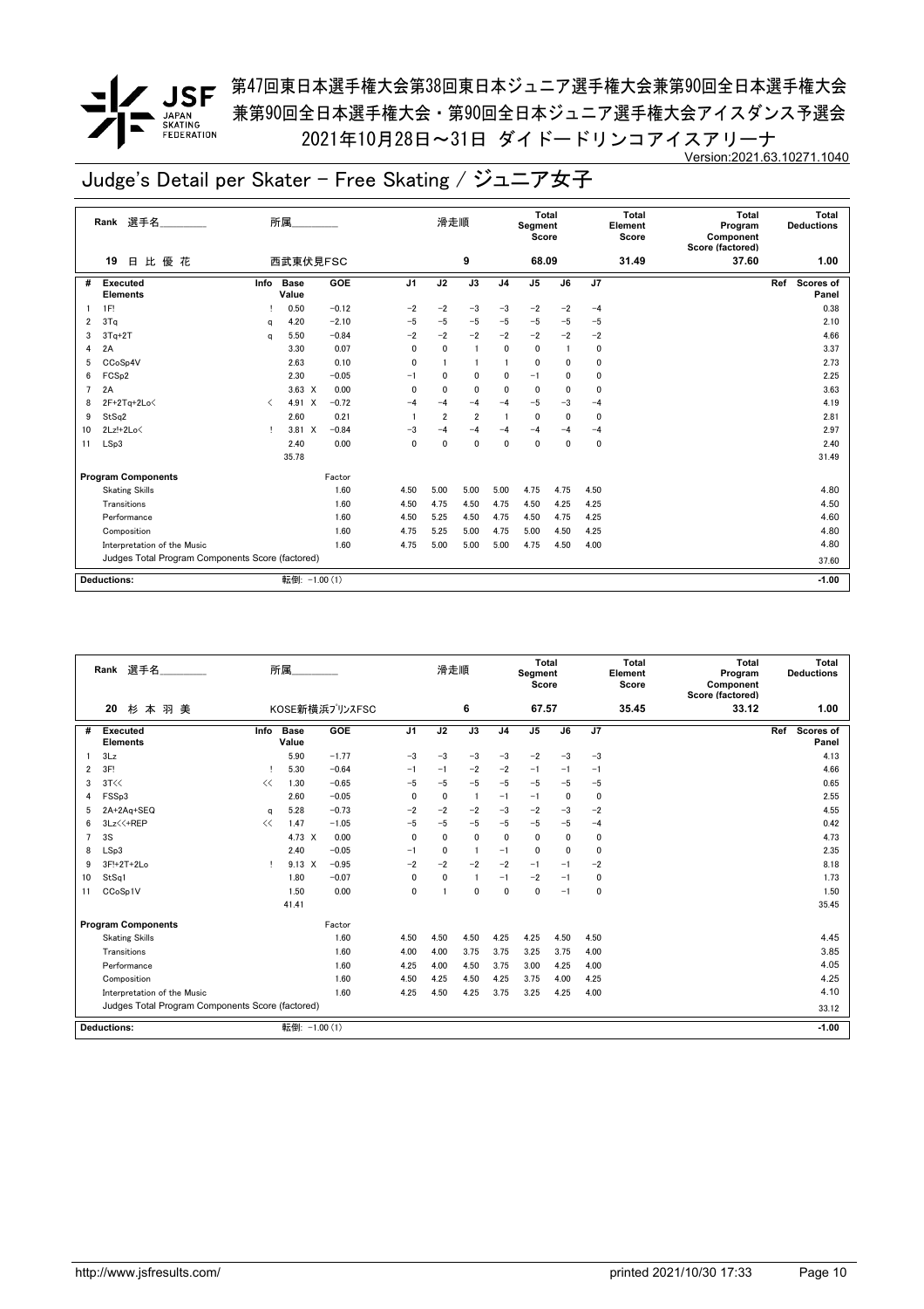<u>/</u> JSF <sup>第47回東日本選手権大会第38回東日本ジュニア選手権大会兼第90回全日本選手権大会</sup> 兼第90回全日本選手権大会・第90回全日本ジュニア選手権大会アイスダンス予選会 2021年10月28日~31日 ダイドードリンコアイスアリーナ Version:2021.63.10271.1040

| 比優花<br>西武東伏見FSC<br>9<br>68.09<br>31.49<br>37.60<br>19<br>日<br>1.00<br>J <sub>1</sub><br>GOE<br>J2<br>J3<br>J5<br>J6<br>J7<br><b>Scores of</b><br>Executed<br>Info<br><b>Base</b><br>J <sub>4</sub><br>Ref<br>#<br><b>Elements</b><br>Value<br>Panel<br>$-0.12$<br>$-2$<br>1F!<br>0.50<br>$-2$<br>$-3$<br>$-3$<br>$-2$<br>0.38<br>$-2$<br>$-4$<br>3Tq<br>$-2.10$<br>$-5$<br>$-5$<br>$-5$<br>$-5$<br>4.20<br>$-5$<br>$-5$<br>$-5$<br>2.10<br>2<br>q<br>$-2$<br>$-2$<br>$-2$<br>$-2$<br>$3Tq+2T$<br>5.50<br>$-0.84$<br>$-2$<br>$-2$<br>4.66<br>$-2$<br>3<br>a<br>0.07<br>2A<br>$\mathbf{0}$<br>$\mathbf{0}$<br>$\mathbf 0$<br>3.37<br>3.30<br>$\overline{1}$<br>0<br>0<br>4<br>0.10<br>CCoSp4V<br>2.63<br>$\mathbf 0$<br>0<br>2.73<br>$\mathbf{0}$<br>$\mathbf{0}$<br>5<br>FCS <sub>p2</sub><br>$-0.05$<br>2.30<br>0<br>0<br>$\mathbf{0}$<br>0<br>2.25<br>6<br>$-1$<br>0<br>$-1$<br>2A<br>$3.63 \times$<br>0.00<br>$\mathbf{0}$<br>$\mathbf{0}$<br>0<br>$\mathbf 0$<br>$\mathbf{0}$<br>3.63<br>$\overline{7}$<br>$\mathbf{0}$<br>0<br>$-0.72$<br>$-5$<br>$2F+2Tq+2Lo\leq$<br>4.91 X<br>$-4$<br>$-4$<br>$-4$<br>$-3$<br>$-4$<br>4.19<br>$-4$<br>8<br>$\langle$<br>0.21<br>StSq2<br>2.60<br>$\overline{2}$<br>$\overline{2}$<br>$\mathbf 0$<br>2.81<br>0<br>0<br>9<br>$2Lz!+2Lo\leq$<br>$3.81 \quad X$<br>$-0.84$<br>2.97<br>10<br>$-3$<br>$-4$<br>$-4$<br>-4<br>$-4$<br>$-4$<br>$-4$<br>т<br>LSp3<br>2.40<br>0.00<br>$\mathbf{0}$<br>0<br>$\mathbf{0}$<br>0<br>2.40<br>$\mathbf{0}$<br>0<br>$\Omega$<br>11<br>35.78<br>31.49<br><b>Program Components</b><br>Factor<br>1.60<br>4.80<br>4.50<br>5.00<br>5.00<br>4.75<br>4.75<br>4.50<br><b>Skating Skills</b><br>5.00<br>4.50<br>Transitions<br>1.60<br>4.50<br>4.75<br>4.50<br>4.75<br>4.50<br>4.25<br>4.25<br>4.60<br>1.60<br>Performance<br>4.50<br>5.25<br>4.50<br>4.75<br>4.50<br>4.25<br>4.75<br>4.80<br>1.60<br>4.75<br>4.25<br>Composition<br>5.25<br>5.00<br>4.75<br>5.00<br>4.50<br>1.60<br>4.80<br>Interpretation of the Music<br>4.75<br>5.00<br>5.00<br>5.00<br>4.75<br>4.50<br>4.00 | Rank 選手名 | 所属 |  | 滑走順 |  | Total<br>Segment<br>Score |  | Total<br>Element<br>Score | Total<br>Program<br>Component<br>Score (factored) | Total<br><b>Deductions</b> |
|----------------------------------------------------------------------------------------------------------------------------------------------------------------------------------------------------------------------------------------------------------------------------------------------------------------------------------------------------------------------------------------------------------------------------------------------------------------------------------------------------------------------------------------------------------------------------------------------------------------------------------------------------------------------------------------------------------------------------------------------------------------------------------------------------------------------------------------------------------------------------------------------------------------------------------------------------------------------------------------------------------------------------------------------------------------------------------------------------------------------------------------------------------------------------------------------------------------------------------------------------------------------------------------------------------------------------------------------------------------------------------------------------------------------------------------------------------------------------------------------------------------------------------------------------------------------------------------------------------------------------------------------------------------------------------------------------------------------------------------------------------------------------------------------------------------------------------------------------------------------------------------------------------------------------------------------------------------------------------------------------------------------------------------------|----------|----|--|-----|--|---------------------------|--|---------------------------|---------------------------------------------------|----------------------------|
|                                                                                                                                                                                                                                                                                                                                                                                                                                                                                                                                                                                                                                                                                                                                                                                                                                                                                                                                                                                                                                                                                                                                                                                                                                                                                                                                                                                                                                                                                                                                                                                                                                                                                                                                                                                                                                                                                                                                                                                                                                              |          |    |  |     |  |                           |  |                           |                                                   |                            |
|                                                                                                                                                                                                                                                                                                                                                                                                                                                                                                                                                                                                                                                                                                                                                                                                                                                                                                                                                                                                                                                                                                                                                                                                                                                                                                                                                                                                                                                                                                                                                                                                                                                                                                                                                                                                                                                                                                                                                                                                                                              |          |    |  |     |  |                           |  |                           |                                                   |                            |
|                                                                                                                                                                                                                                                                                                                                                                                                                                                                                                                                                                                                                                                                                                                                                                                                                                                                                                                                                                                                                                                                                                                                                                                                                                                                                                                                                                                                                                                                                                                                                                                                                                                                                                                                                                                                                                                                                                                                                                                                                                              |          |    |  |     |  |                           |  |                           |                                                   |                            |
|                                                                                                                                                                                                                                                                                                                                                                                                                                                                                                                                                                                                                                                                                                                                                                                                                                                                                                                                                                                                                                                                                                                                                                                                                                                                                                                                                                                                                                                                                                                                                                                                                                                                                                                                                                                                                                                                                                                                                                                                                                              |          |    |  |     |  |                           |  |                           |                                                   |                            |
|                                                                                                                                                                                                                                                                                                                                                                                                                                                                                                                                                                                                                                                                                                                                                                                                                                                                                                                                                                                                                                                                                                                                                                                                                                                                                                                                                                                                                                                                                                                                                                                                                                                                                                                                                                                                                                                                                                                                                                                                                                              |          |    |  |     |  |                           |  |                           |                                                   |                            |
|                                                                                                                                                                                                                                                                                                                                                                                                                                                                                                                                                                                                                                                                                                                                                                                                                                                                                                                                                                                                                                                                                                                                                                                                                                                                                                                                                                                                                                                                                                                                                                                                                                                                                                                                                                                                                                                                                                                                                                                                                                              |          |    |  |     |  |                           |  |                           |                                                   |                            |
|                                                                                                                                                                                                                                                                                                                                                                                                                                                                                                                                                                                                                                                                                                                                                                                                                                                                                                                                                                                                                                                                                                                                                                                                                                                                                                                                                                                                                                                                                                                                                                                                                                                                                                                                                                                                                                                                                                                                                                                                                                              |          |    |  |     |  |                           |  |                           |                                                   |                            |
|                                                                                                                                                                                                                                                                                                                                                                                                                                                                                                                                                                                                                                                                                                                                                                                                                                                                                                                                                                                                                                                                                                                                                                                                                                                                                                                                                                                                                                                                                                                                                                                                                                                                                                                                                                                                                                                                                                                                                                                                                                              |          |    |  |     |  |                           |  |                           |                                                   |                            |
|                                                                                                                                                                                                                                                                                                                                                                                                                                                                                                                                                                                                                                                                                                                                                                                                                                                                                                                                                                                                                                                                                                                                                                                                                                                                                                                                                                                                                                                                                                                                                                                                                                                                                                                                                                                                                                                                                                                                                                                                                                              |          |    |  |     |  |                           |  |                           |                                                   |                            |
|                                                                                                                                                                                                                                                                                                                                                                                                                                                                                                                                                                                                                                                                                                                                                                                                                                                                                                                                                                                                                                                                                                                                                                                                                                                                                                                                                                                                                                                                                                                                                                                                                                                                                                                                                                                                                                                                                                                                                                                                                                              |          |    |  |     |  |                           |  |                           |                                                   |                            |
|                                                                                                                                                                                                                                                                                                                                                                                                                                                                                                                                                                                                                                                                                                                                                                                                                                                                                                                                                                                                                                                                                                                                                                                                                                                                                                                                                                                                                                                                                                                                                                                                                                                                                                                                                                                                                                                                                                                                                                                                                                              |          |    |  |     |  |                           |  |                           |                                                   |                            |
|                                                                                                                                                                                                                                                                                                                                                                                                                                                                                                                                                                                                                                                                                                                                                                                                                                                                                                                                                                                                                                                                                                                                                                                                                                                                                                                                                                                                                                                                                                                                                                                                                                                                                                                                                                                                                                                                                                                                                                                                                                              |          |    |  |     |  |                           |  |                           |                                                   |                            |
|                                                                                                                                                                                                                                                                                                                                                                                                                                                                                                                                                                                                                                                                                                                                                                                                                                                                                                                                                                                                                                                                                                                                                                                                                                                                                                                                                                                                                                                                                                                                                                                                                                                                                                                                                                                                                                                                                                                                                                                                                                              |          |    |  |     |  |                           |  |                           |                                                   |                            |
|                                                                                                                                                                                                                                                                                                                                                                                                                                                                                                                                                                                                                                                                                                                                                                                                                                                                                                                                                                                                                                                                                                                                                                                                                                                                                                                                                                                                                                                                                                                                                                                                                                                                                                                                                                                                                                                                                                                                                                                                                                              |          |    |  |     |  |                           |  |                           |                                                   |                            |
|                                                                                                                                                                                                                                                                                                                                                                                                                                                                                                                                                                                                                                                                                                                                                                                                                                                                                                                                                                                                                                                                                                                                                                                                                                                                                                                                                                                                                                                                                                                                                                                                                                                                                                                                                                                                                                                                                                                                                                                                                                              |          |    |  |     |  |                           |  |                           |                                                   |                            |
|                                                                                                                                                                                                                                                                                                                                                                                                                                                                                                                                                                                                                                                                                                                                                                                                                                                                                                                                                                                                                                                                                                                                                                                                                                                                                                                                                                                                                                                                                                                                                                                                                                                                                                                                                                                                                                                                                                                                                                                                                                              |          |    |  |     |  |                           |  |                           |                                                   |                            |
|                                                                                                                                                                                                                                                                                                                                                                                                                                                                                                                                                                                                                                                                                                                                                                                                                                                                                                                                                                                                                                                                                                                                                                                                                                                                                                                                                                                                                                                                                                                                                                                                                                                                                                                                                                                                                                                                                                                                                                                                                                              |          |    |  |     |  |                           |  |                           |                                                   |                            |
|                                                                                                                                                                                                                                                                                                                                                                                                                                                                                                                                                                                                                                                                                                                                                                                                                                                                                                                                                                                                                                                                                                                                                                                                                                                                                                                                                                                                                                                                                                                                                                                                                                                                                                                                                                                                                                                                                                                                                                                                                                              |          |    |  |     |  |                           |  |                           |                                                   |                            |
|                                                                                                                                                                                                                                                                                                                                                                                                                                                                                                                                                                                                                                                                                                                                                                                                                                                                                                                                                                                                                                                                                                                                                                                                                                                                                                                                                                                                                                                                                                                                                                                                                                                                                                                                                                                                                                                                                                                                                                                                                                              |          |    |  |     |  |                           |  |                           |                                                   |                            |
|                                                                                                                                                                                                                                                                                                                                                                                                                                                                                                                                                                                                                                                                                                                                                                                                                                                                                                                                                                                                                                                                                                                                                                                                                                                                                                                                                                                                                                                                                                                                                                                                                                                                                                                                                                                                                                                                                                                                                                                                                                              |          |    |  |     |  |                           |  |                           |                                                   |                            |
| Judges Total Program Components Score (factored)<br>37.60                                                                                                                                                                                                                                                                                                                                                                                                                                                                                                                                                                                                                                                                                                                                                                                                                                                                                                                                                                                                                                                                                                                                                                                                                                                                                                                                                                                                                                                                                                                                                                                                                                                                                                                                                                                                                                                                                                                                                                                    |          |    |  |     |  |                           |  |                           |                                                   |                            |
| 転倒: -1.00 (1)<br><b>Deductions:</b><br>$-1.00$                                                                                                                                                                                                                                                                                                                                                                                                                                                                                                                                                                                                                                                                                                                                                                                                                                                                                                                                                                                                                                                                                                                                                                                                                                                                                                                                                                                                                                                                                                                                                                                                                                                                                                                                                                                                                                                                                                                                                                                               |          |    |  |     |  |                           |  |                           |                                                   |                            |

|    | Rank 選手名                                         |      | 所属                   |                |                | 滑走順          |              |                | <b>Total</b><br>Segment<br>Score |              |      | <b>Total</b><br>Element<br>Score | <b>Total</b><br>Program<br>Component<br>Score (factored) | Total<br><b>Deductions</b>       |
|----|--------------------------------------------------|------|----------------------|----------------|----------------|--------------|--------------|----------------|----------------------------------|--------------|------|----------------------------------|----------------------------------------------------------|----------------------------------|
|    | 20<br>杉本羽美                                       |      |                      | KOSE新横浜プリンスFSC |                |              | 6            |                | 67.57                            |              |      | 35.45                            | 33.12                                                    | 1.00                             |
| #  | Executed<br><b>Elements</b>                      | Info | <b>Base</b><br>Value | GOE            | J <sub>1</sub> | J2           | J3           | J <sub>4</sub> | J <sub>5</sub>                   | J6           | J7   |                                  |                                                          | Ref<br><b>Scores of</b><br>Panel |
|    | 3Lz                                              |      | 5.90                 | $-1.77$        | $-3$           | $-3$         | $-3$         | $-3$           | $-2$                             | $-3$         | $-3$ |                                  |                                                          | 4.13                             |
| 2  | 3F!                                              |      | 5.30                 | $-0.64$        | $-1$           | $-1$         | $-2$         | $-2$           | $-1$                             | $-1$         | -1   |                                  |                                                          | 4.66                             |
| 3  | 3T<<                                             | <<   | 1.30                 | $-0.65$        | $-5$           | $-5$         | $-5$         | $-5$           | $-5$                             | $-5$         | $-5$ |                                  |                                                          | 0.65                             |
| 4  | FSSp3                                            |      | 2.60                 | $-0.05$        | 0              | 0            | -1           | $-1$           | $-1$                             | $\Omega$     | 0    |                                  |                                                          | 2.55                             |
| 5  | 2A+2Aq+SEQ                                       | q    | 5.28                 | $-0.73$        | $-2$           | $-2$         | $-2$         | $-3$           | $-2$                             | $-3$         | $-2$ |                                  |                                                          | 4.55                             |
| 6  | 3Lz << +REP                                      | <<   | 1.47                 | $-1.05$        | $-5$           | $-5$         | $-5$         | $-5$           | $-5$                             | $-5$         | $-4$ |                                  |                                                          | 0.42                             |
|    | 3S                                               |      | 4.73 X               | 0.00           | $\mathbf{0}$   | $\mathbf{0}$ | $\mathbf{0}$ | $\Omega$       | 0                                | $\mathbf{0}$ | 0    |                                  |                                                          | 4.73                             |
| 8  | LSp3                                             |      | 2.40                 | $-0.05$        | $-1$           | $\mathbf{0}$ | $\mathbf{1}$ | $-1$           | 0                                | 0            | 0    |                                  |                                                          | 2.35                             |
| 9  | 3F!+2T+2Lo                                       | т.   | $9.13 \times$        | $-0.95$        | $-2$           | $-2$         | $-2$         | $-2$           | $-1$                             | $-1$         | $-2$ |                                  |                                                          | 8.18                             |
| 10 | StSq1                                            |      | 1.80                 | $-0.07$        | $\mathbf{0}$   | $\mathbf 0$  |              | $-1$           | $-2$                             | $-1$         | 0    |                                  |                                                          | 1.73                             |
| 11 | CCoSp1V                                          |      | 1.50                 | 0.00           | 0              | -1           | $\mathbf{0}$ | $\Omega$       | $\mathbf{0}$                     | $-1$         | 0    |                                  |                                                          | 1.50                             |
|    |                                                  |      | 41.41                |                |                |              |              |                |                                  |              |      |                                  |                                                          | 35.45                            |
|    | <b>Program Components</b>                        |      |                      | Factor         |                |              |              |                |                                  |              |      |                                  |                                                          |                                  |
|    | <b>Skating Skills</b>                            |      |                      | 1.60           | 4.50           | 4.50         | 4.50         | 4.25           | 4.25                             | 4.50         | 4.50 |                                  |                                                          | 4.45                             |
|    | Transitions                                      |      |                      | 1.60           | 4.00           | 4.00         | 3.75         | 3.75           | 3.25                             | 3.75         | 4.00 |                                  |                                                          | 3.85                             |
|    | Performance                                      |      |                      | 1.60           | 4.25           | 4.00         | 4.50         | 3.75           | 3.00                             | 4.25         | 4.00 |                                  |                                                          | 4.05                             |
|    | Composition                                      |      |                      | 1.60           | 4.50           | 4.25         | 4.50         | 4.25           | 3.75                             | 4.00         | 4.25 |                                  |                                                          | 4.25                             |
|    | Interpretation of the Music                      |      |                      | 1.60           | 4.25           | 4.50         | 4.25         | 3.75           | 3.25                             | 4.25         | 4.00 |                                  |                                                          | 4.10                             |
|    | Judges Total Program Components Score (factored) |      |                      |                |                |              |              |                |                                  |              |      |                                  |                                                          | 33.12                            |
|    | <b>Deductions:</b>                               |      | 転倒: -1.00 (1)        |                |                |              |              |                |                                  |              |      |                                  |                                                          | $-1.00$                          |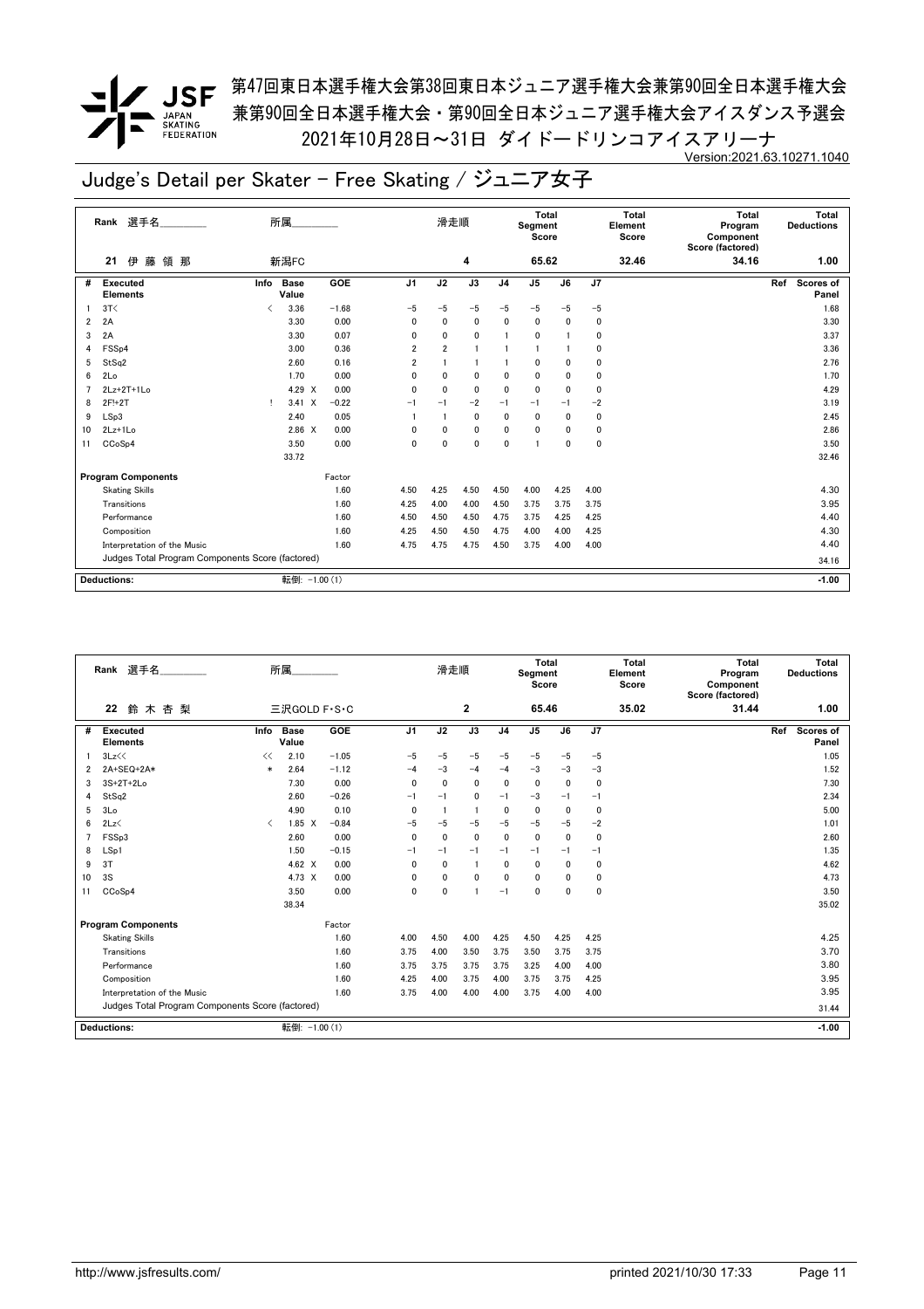<u>●</u> <br>● JSF <sup>第47回東日本選手権大会第38回東日本ジュニア選手権大会兼第90回全日本選手権大会</sup> 兼第90回全日本選手権大会・第90回全日本ジュニア選手権大会アイスダンス予選会 2021年10月28日~31日 ダイドードリンコアイスアリーナ Version:2021.63.10271.1040

|    | 選手名<br>Rank                                      | 所属   |                      |         |                | 滑走順            |                |                | Total<br>Segment<br>Score |      |      | <b>Total</b><br>Element<br>Score | <b>Total</b><br>Program<br>Component<br>Score (factored) | Total<br><b>Deductions</b>       |
|----|--------------------------------------------------|------|----------------------|---------|----------------|----------------|----------------|----------------|---------------------------|------|------|----------------------------------|----------------------------------------------------------|----------------------------------|
|    | 藤<br>領 那<br>伊<br>21                              | 新潟FC |                      |         |                |                | 4              |                | 65.62                     |      |      | 32.46                            | 34.16                                                    | 1.00                             |
| #  | <b>Executed</b><br><b>Elements</b>               | Info | <b>Base</b><br>Value | GOE     | J <sub>1</sub> | J2             | J3             | J <sub>4</sub> | J5                        | J6   | J7   |                                  |                                                          | Ref<br><b>Scores of</b><br>Panel |
|    | 3T<                                              | ✓    | 3.36                 | $-1.68$ | $-5$           | $-5$           | $-5$           | $-5$           | $-5$                      | $-5$ | -5   |                                  |                                                          | 1.68                             |
| 2  | 2A                                               |      | 3.30                 | 0.00    | 0              | 0              | 0              | 0              | 0                         | 0    | 0    |                                  |                                                          | 3.30                             |
| 3  | 2A                                               |      | 3.30                 | 0.07    | 0              | $\mathbf{0}$   | $\mathbf 0$    | $\mathbf{1}$   | 0                         |      | 0    |                                  |                                                          | 3.37                             |
| 4  | FSS <sub>p4</sub>                                |      | 3.00                 | 0.36    | $\overline{2}$ | $\overline{2}$ | $\overline{1}$ |                |                           |      | 0    |                                  |                                                          | 3.36                             |
| 5  | StSq2                                            |      | 2.60                 | 0.16    | $\overline{2}$ |                | $\overline{1}$ |                | 0                         | 0    | 0    |                                  |                                                          | 2.76                             |
| 6  | 2Lo                                              |      | 1.70                 | 0.00    | 0              | $\Omega$       | $\mathbf 0$    | 0              | 0                         | 0    | 0    |                                  |                                                          | 1.70                             |
| 7  | $2Lz+2T+1Lo$                                     |      | 4.29 X               | 0.00    | $\mathbf{0}$   | $\Omega$       | 0              | 0              | 0                         | 0    | 0    |                                  |                                                          | 4.29                             |
| 8  | 2F!+2T                                           | Ţ.   | $3.41 \times$        | $-0.22$ | $-1$           | $-1$           | $-2$           | $-1$           | $-1$                      | $-1$ | $-2$ |                                  |                                                          | 3.19                             |
| 9  | LSp3                                             |      | 2.40                 | 0.05    |                |                | $\mathbf 0$    | 0              | 0                         | 0    | 0    |                                  |                                                          | 2.45                             |
| 10 | $2Lz+1Lo$                                        |      | $2.86 \t X$          | 0.00    | $\mathbf{0}$   | $\mathbf{0}$   | $\mathbf 0$    | 0              | 0                         | 0    | 0    |                                  |                                                          | 2.86                             |
| 11 | CCoSp4                                           |      | 3.50                 | 0.00    | 0              | $\mathbf{0}$   | $\mathbf 0$    | $\mathbf{0}$   | 1                         | 0    | 0    |                                  |                                                          | 3.50                             |
|    |                                                  |      | 33.72                |         |                |                |                |                |                           |      |      |                                  |                                                          | 32.46                            |
|    | <b>Program Components</b>                        |      |                      | Factor  |                |                |                |                |                           |      |      |                                  |                                                          |                                  |
|    | <b>Skating Skills</b>                            |      |                      | 1.60    | 4.50           | 4.25           | 4.50           | 4.50           | 4.00                      | 4.25 | 4.00 |                                  |                                                          | 4.30                             |
|    | Transitions                                      |      |                      | 1.60    | 4.25           | 4.00           | 4.00           | 4.50           | 3.75                      | 3.75 | 3.75 |                                  |                                                          | 3.95                             |
|    | Performance                                      |      |                      | 1.60    | 4.50           | 4.50           | 4.50           | 4.75           | 3.75                      | 4.25 | 4.25 |                                  |                                                          | 4.40                             |
|    | Composition                                      |      |                      | 1.60    | 4.25           | 4.50           | 4.50           | 4.75           | 4.00                      | 4.00 | 4.25 |                                  |                                                          | 4.30                             |
|    | Interpretation of the Music                      |      |                      | 1.60    | 4.75           | 4.75           | 4.75           | 4.50           | 3.75                      | 4.00 | 4.00 |                                  |                                                          | 4.40                             |
|    | Judges Total Program Components Score (factored) |      |                      |         |                |                |                |                |                           |      |      |                                  |                                                          | 34.16                            |
|    | <b>Deductions:</b>                               |      | 転倒: -1.00 (1)        |         |                |                |                |                |                           |      |      |                                  |                                                          | $-1.00$                          |

|    | 選手名<br>Rank                                      |                                          | 所属                   |         |                | 滑走順            |                |                | Total<br>Segment<br>Score |              |      | Total<br>Element<br>Score | <b>Total</b><br>Program<br>Component<br>Score (factored) | Total<br><b>Deductions</b> |
|----|--------------------------------------------------|------------------------------------------|----------------------|---------|----------------|----------------|----------------|----------------|---------------------------|--------------|------|---------------------------|----------------------------------------------------------|----------------------------|
|    | 22<br>鈴木杏梨                                       |                                          | 三沢GOLD F·S·C         |         |                |                | $\mathbf{2}$   |                | 65.46                     |              |      | 35.02                     | 31.44                                                    | 1.00                       |
| #  | <b>Executed</b><br><b>Elements</b>               | Info                                     | <b>Base</b><br>Value | GOE     | J <sub>1</sub> | J2             | J3             | J <sub>4</sub> | J <sub>5</sub>            | J6           | J7   |                           |                                                          | Ref<br>Scores of<br>Panel  |
|    | 3Lz<<                                            | <<                                       | 2.10                 | $-1.05$ | $-5$           | $-5$           | $-5$           | $-5$           | $-5$                      | $-5$         | $-5$ |                           |                                                          | 1.05                       |
| 2  | 2A+SEQ+2A*                                       | $\ast$                                   | 2.64                 | $-1.12$ | $-4$           | $-3$           | $-4$           | $-4$           | $-3$                      | $-3$         | $-3$ |                           |                                                          | 1.52                       |
| 3  | $3S+2T+2Lo$                                      |                                          | 7.30                 | 0.00    | $\mathbf{0}$   | $\mathbf{0}$   | $\mathbf{0}$   | $\mathbf{0}$   | $\mathbf{0}$              | $\mathbf{0}$ | 0    |                           |                                                          | 7.30                       |
| 4  | StSq2                                            |                                          | 2.60                 | $-0.26$ | $-1$           | $-1$           | 0              | $-1$           | $-3$                      | $-1$         | $-1$ |                           |                                                          | 2.34                       |
| 5  | 3Lo                                              |                                          | 4.90                 | 0.10    | $\mathbf{0}$   | $\overline{1}$ | $\blacksquare$ | $\mathbf{0}$   | $\mathbf 0$               | $\mathbf{0}$ | 0    |                           |                                                          | 5.00                       |
| 6  | 2Lz                                              | $\overline{\left\langle \right\rangle }$ | $1.85 \quad X$       | $-0.84$ | $-5$           | $-5$           | $-5$           | $-5$           | $-5$                      | $-5$         | $-2$ |                           |                                                          | 1.01                       |
| 7  | FSSp3                                            |                                          | 2.60                 | 0.00    | $\mathbf{0}$   | $\mathbf{0}$   | 0              | $\mathbf{0}$   | $\mathbf 0$               | $\mathbf{0}$ | 0    |                           |                                                          | 2.60                       |
| 8  | LSp1                                             |                                          | 1.50                 | $-0.15$ | $-1$           | $-1$           | $-1$           | $-1$           | $-1$                      | $-1$         | $-1$ |                           |                                                          | 1.35                       |
| 9  | 3T                                               |                                          | 4.62 $\times$        | 0.00    | $\mathbf{0}$   | $\mathbf 0$    | -1             | $\mathbf{0}$   | $\mathbf{0}$              | $\mathbf{0}$ | 0    |                           |                                                          | 4.62                       |
| 10 | 3S                                               |                                          | 4.73 X               | 0.00    | 0              | $\mathbf 0$    | 0              | $\mathbf{0}$   | 0                         | 0            | 0    |                           |                                                          | 4.73                       |
| 11 | CCoSp4                                           |                                          | 3.50                 | 0.00    | 0              | $\mathbf 0$    |                | $-1$           | 0                         | 0            | 0    |                           |                                                          | 3.50                       |
|    |                                                  |                                          | 38.34                |         |                |                |                |                |                           |              |      |                           |                                                          | 35.02                      |
|    | <b>Program Components</b>                        |                                          |                      | Factor  |                |                |                |                |                           |              |      |                           |                                                          |                            |
|    | <b>Skating Skills</b>                            |                                          |                      | 1.60    | 4.00           | 4.50           | 4.00           | 4.25           | 4.50                      | 4.25         | 4.25 |                           |                                                          | 4.25                       |
|    | Transitions                                      |                                          |                      | 1.60    | 3.75           | 4.00           | 3.50           | 3.75           | 3.50                      | 3.75         | 3.75 |                           |                                                          | 3.70                       |
|    | Performance                                      |                                          |                      | 1.60    | 3.75           | 3.75           | 3.75           | 3.75           | 3.25                      | 4.00         | 4.00 |                           |                                                          | 3.80                       |
|    | Composition                                      |                                          |                      | 1.60    | 4.25           | 4.00           | 3.75           | 4.00           | 3.75                      | 3.75         | 4.25 |                           |                                                          | 3.95                       |
|    | Interpretation of the Music                      |                                          |                      | 1.60    | 3.75           | 4.00           | 4.00           | 4.00           | 3.75                      | 4.00         | 4.00 |                           |                                                          | 3.95                       |
|    | Judges Total Program Components Score (factored) |                                          |                      |         |                |                |                |                |                           |              |      |                           |                                                          | 31.44                      |
|    | Deductions:                                      |                                          | 転倒: -1.00 (1)        |         |                |                |                |                |                           |              |      |                           |                                                          | $-1.00$                    |